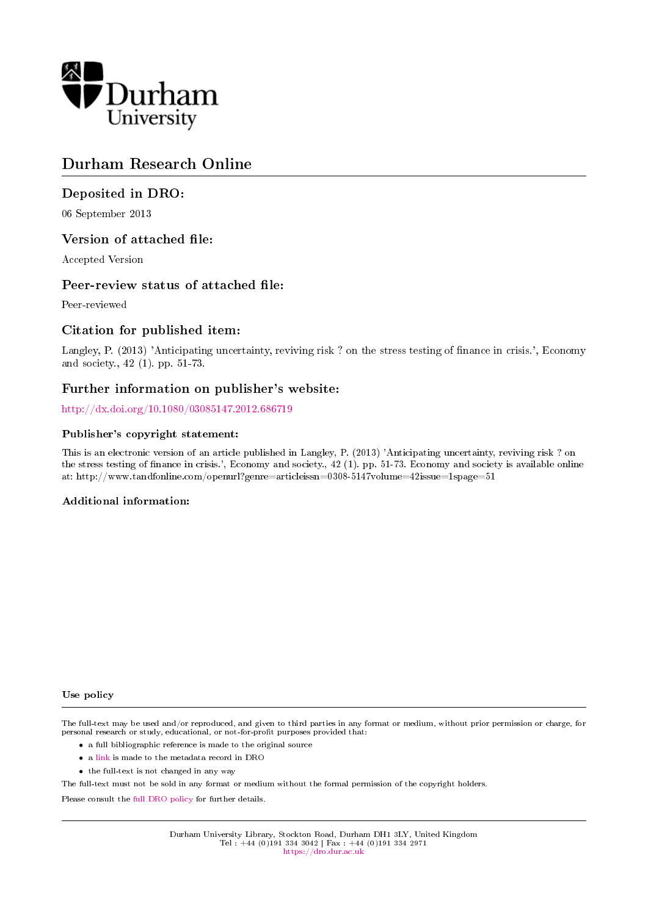

# Durham Research Online

# Deposited in DRO:

06 September 2013

# Version of attached file:

Accepted Version

### Peer-review status of attached file:

Peer-reviewed

# Citation for published item:

Langley, P. (2013) 'Anticipating uncertainty, reviving risk ? on the stress testing of finance in crisis.', Economy and society., 42 (1). pp. 51-73.

# Further information on publisher's website:

<http://dx.doi.org/10.1080/03085147.2012.686719>

#### Publisher's copyright statement:

This is an electronic version of an article published in Langley, P. (2013) 'Anticipating uncertainty, reviving risk ? on the stress testing of nance in crisis.', Economy and society., 42 (1). pp. 51-73. Economy and society is available online at: http://www.tandfonline.com/openurl?genre=articleissn=0308-5147volume=42issue=1spage=51

#### Additional information:

#### Use policy

The full-text may be used and/or reproduced, and given to third parties in any format or medium, without prior permission or charge, for personal research or study, educational, or not-for-profit purposes provided that:

- a full bibliographic reference is made to the original source
- a [link](http://dro.dur.ac.uk/11167/) is made to the metadata record in DRO
- the full-text is not changed in any way

The full-text must not be sold in any format or medium without the formal permission of the copyright holders.

Please consult the [full DRO policy](https://dro.dur.ac.uk/policies/usepolicy.pdf) for further details.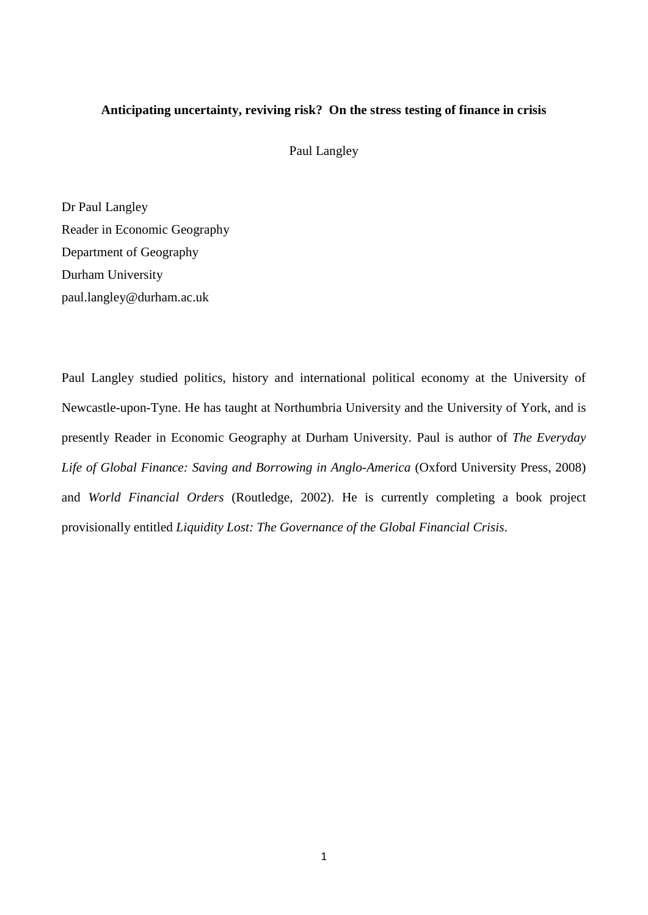### **Anticipating uncertainty, reviving risk? On the stress testing of finance in crisis**

Paul Langley

Dr Paul Langley Reader in Economic Geography Department of Geography Durham University paul.langley@durham.ac.uk

Paul Langley studied politics, history and international political economy at the University of Newcastle-upon-Tyne. He has taught at Northumbria University and the University of York, and is presently Reader in Economic Geography at Durham University. Paul is author of *The Everyday Life of Global Finance: Saving and Borrowing in Anglo-America* (Oxford University Press, 2008) and *World Financial Orders* (Routledge, 2002). He is currently completing a book project provisionally entitled *Liquidity Lost: The Governance of the Global Financial Crisis*.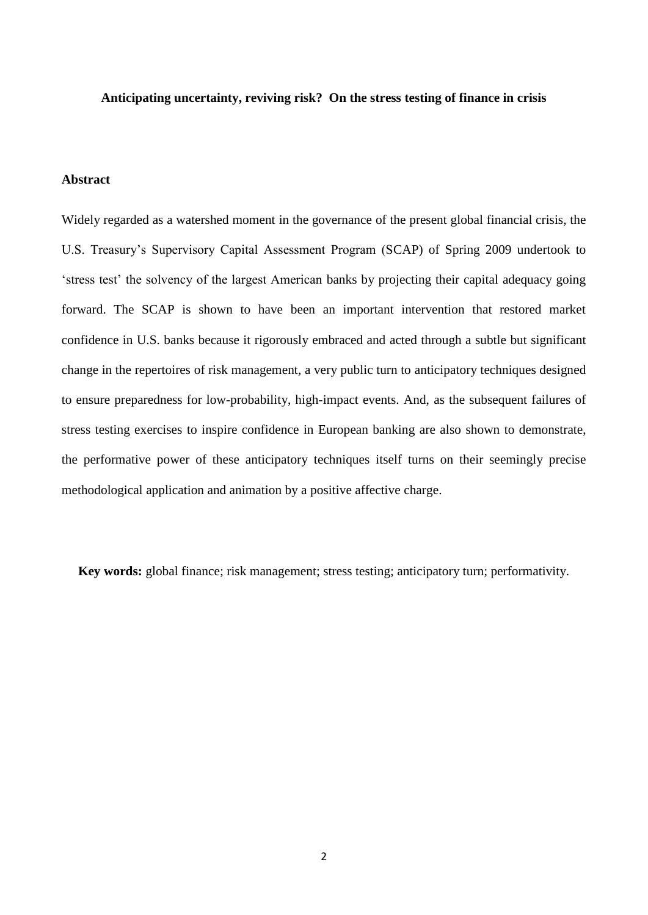#### **Anticipating uncertainty, reviving risk? On the stress testing of finance in crisis**

# **Abstract**

Widely regarded as a watershed moment in the governance of the present global financial crisis, the U.S. Treasury's Supervisory Capital Assessment Program (SCAP) of Spring 2009 undertook to 'stress test' the solvency of the largest American banks by projecting their capital adequacy going forward. The SCAP is shown to have been an important intervention that restored market confidence in U.S. banks because it rigorously embraced and acted through a subtle but significant change in the repertoires of risk management, a very public turn to anticipatory techniques designed to ensure preparedness for low-probability, high-impact events. And, as the subsequent failures of stress testing exercises to inspire confidence in European banking are also shown to demonstrate, the performative power of these anticipatory techniques itself turns on their seemingly precise methodological application and animation by a positive affective charge.

**Key words:** global finance; risk management; stress testing; anticipatory turn; performativity.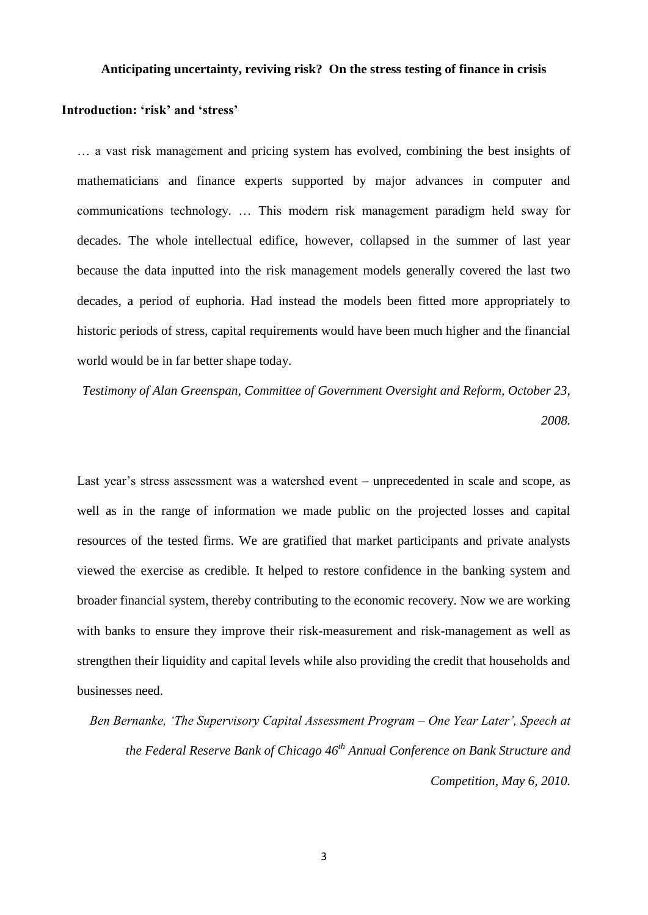### **Anticipating uncertainty, reviving risk? On the stress testing of finance in crisis**

### **Introduction: 'risk' and 'stress'**

… a vast risk management and pricing system has evolved, combining the best insights of mathematicians and finance experts supported by major advances in computer and communications technology. … This modern risk management paradigm held sway for decades. The whole intellectual edifice, however, collapsed in the summer of last year because the data inputted into the risk management models generally covered the last two decades, a period of euphoria. Had instead the models been fitted more appropriately to historic periods of stress, capital requirements would have been much higher and the financial world would be in far better shape today.

*Testimony of Alan Greenspan, Committee of Government Oversight and Reform, October 23, 2008.*

Last year's stress assessment was a watershed event – unprecedented in scale and scope, as well as in the range of information we made public on the projected losses and capital resources of the tested firms. We are gratified that market participants and private analysts viewed the exercise as credible. It helped to restore confidence in the banking system and broader financial system, thereby contributing to the economic recovery. Now we are working with banks to ensure they improve their risk-measurement and risk-management as well as strengthen their liquidity and capital levels while also providing the credit that households and businesses need.

*Ben Bernanke, 'The Supervisory Capital Assessment Program – One Year Later', Speech at the Federal Reserve Bank of Chicago 46th Annual Conference on Bank Structure and Competition, May 6, 2010.*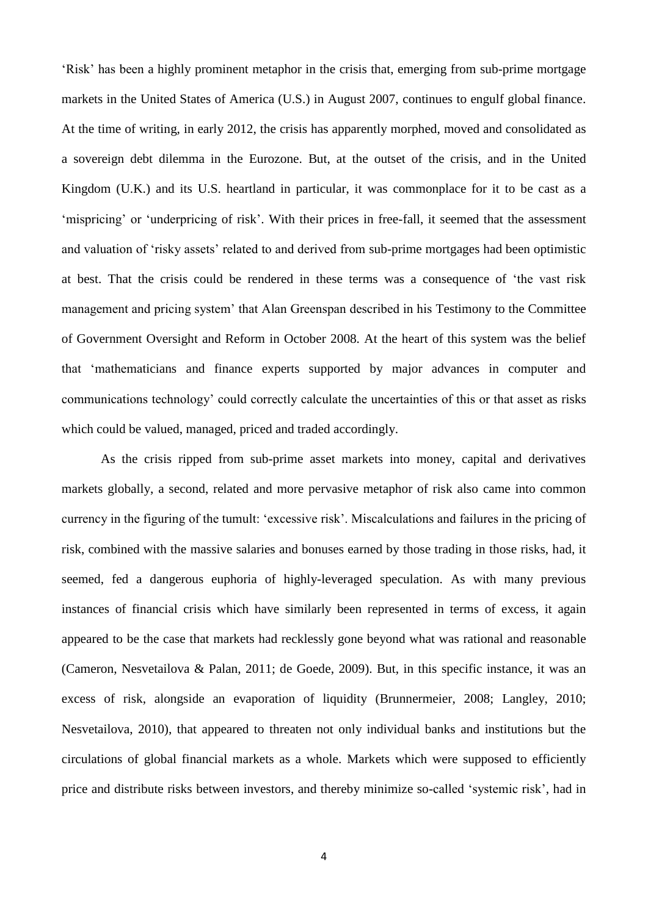'Risk' has been a highly prominent metaphor in the crisis that, emerging from sub-prime mortgage markets in the United States of America (U.S.) in August 2007, continues to engulf global finance. At the time of writing, in early 2012, the crisis has apparently morphed, moved and consolidated as a sovereign debt dilemma in the Eurozone. But, at the outset of the crisis, and in the United Kingdom (U.K.) and its U.S. heartland in particular, it was commonplace for it to be cast as a 'mispricing' or 'underpricing of risk'. With their prices in free-fall, it seemed that the assessment and valuation of 'risky assets' related to and derived from sub-prime mortgages had been optimistic at best. That the crisis could be rendered in these terms was a consequence of 'the vast risk management and pricing system' that Alan Greenspan described in his Testimony to the Committee of Government Oversight and Reform in October 2008*.* At the heart of this system was the belief that 'mathematicians and finance experts supported by major advances in computer and communications technology' could correctly calculate the uncertainties of this or that asset as risks which could be valued, managed, priced and traded accordingly.

As the crisis ripped from sub-prime asset markets into money, capital and derivatives markets globally, a second, related and more pervasive metaphor of risk also came into common currency in the figuring of the tumult: 'excessive risk'. Miscalculations and failures in the pricing of risk, combined with the massive salaries and bonuses earned by those trading in those risks, had, it seemed, fed a dangerous euphoria of highly-leveraged speculation. As with many previous instances of financial crisis which have similarly been represented in terms of excess, it again appeared to be the case that markets had recklessly gone beyond what was rational and reasonable (Cameron, Nesvetailova & Palan, 2011; de Goede, 2009). But, in this specific instance, it was an excess of risk, alongside an evaporation of liquidity (Brunnermeier, 2008; Langley, 2010; Nesvetailova, 2010), that appeared to threaten not only individual banks and institutions but the circulations of global financial markets as a whole. Markets which were supposed to efficiently price and distribute risks between investors, and thereby minimize so-called 'systemic risk', had in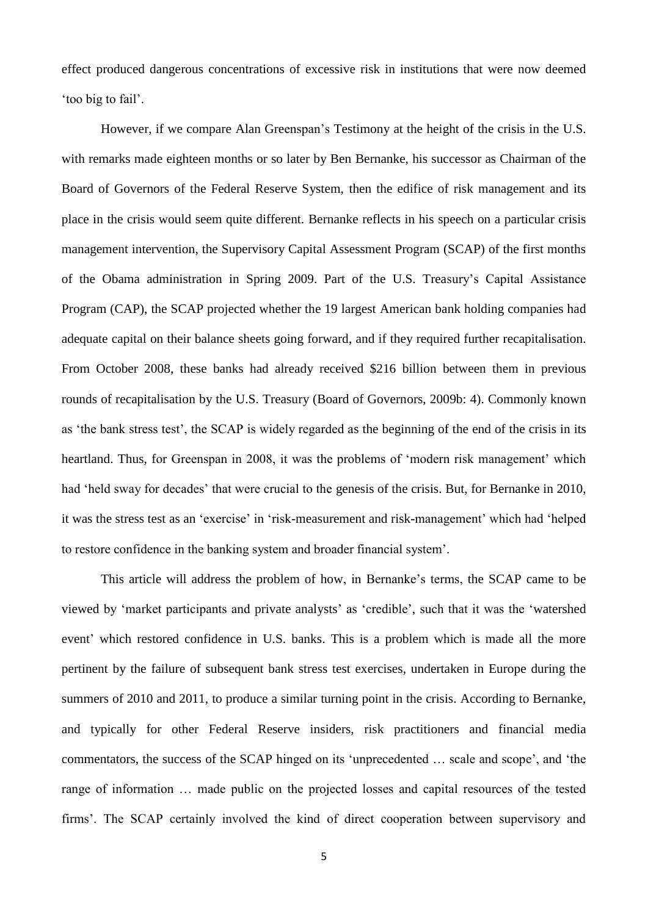effect produced dangerous concentrations of excessive risk in institutions that were now deemed 'too big to fail'.

However, if we compare Alan Greenspan's Testimony at the height of the crisis in the U.S. with remarks made eighteen months or so later by Ben Bernanke, his successor as Chairman of the Board of Governors of the Federal Reserve System, then the edifice of risk management and its place in the crisis would seem quite different. Bernanke reflects in his speech on a particular crisis management intervention, the Supervisory Capital Assessment Program (SCAP) of the first months of the Obama administration in Spring 2009. Part of the U.S. Treasury's Capital Assistance Program (CAP), the SCAP projected whether the 19 largest American bank holding companies had adequate capital on their balance sheets going forward, and if they required further recapitalisation. From October 2008, these banks had already received \$216 billion between them in previous rounds of recapitalisation by the U.S. Treasury (Board of Governors, 2009b: 4). Commonly known as 'the bank stress test', the SCAP is widely regarded as the beginning of the end of the crisis in its heartland. Thus, for Greenspan in 2008, it was the problems of 'modern risk management' which had 'held sway for decades' that were crucial to the genesis of the crisis. But, for Bernanke in 2010, it was the stress test as an 'exercise' in 'risk-measurement and risk-management' which had 'helped to restore confidence in the banking system and broader financial system'.

This article will address the problem of how, in Bernanke's terms, the SCAP came to be viewed by 'market participants and private analysts' as 'credible', such that it was the 'watershed event' which restored confidence in U.S. banks. This is a problem which is made all the more pertinent by the failure of subsequent bank stress test exercises, undertaken in Europe during the summers of 2010 and 2011, to produce a similar turning point in the crisis. According to Bernanke, and typically for other Federal Reserve insiders, risk practitioners and financial media commentators, the success of the SCAP hinged on its 'unprecedented … scale and scope', and 'the range of information … made public on the projected losses and capital resources of the tested firms'. The SCAP certainly involved the kind of direct cooperation between supervisory and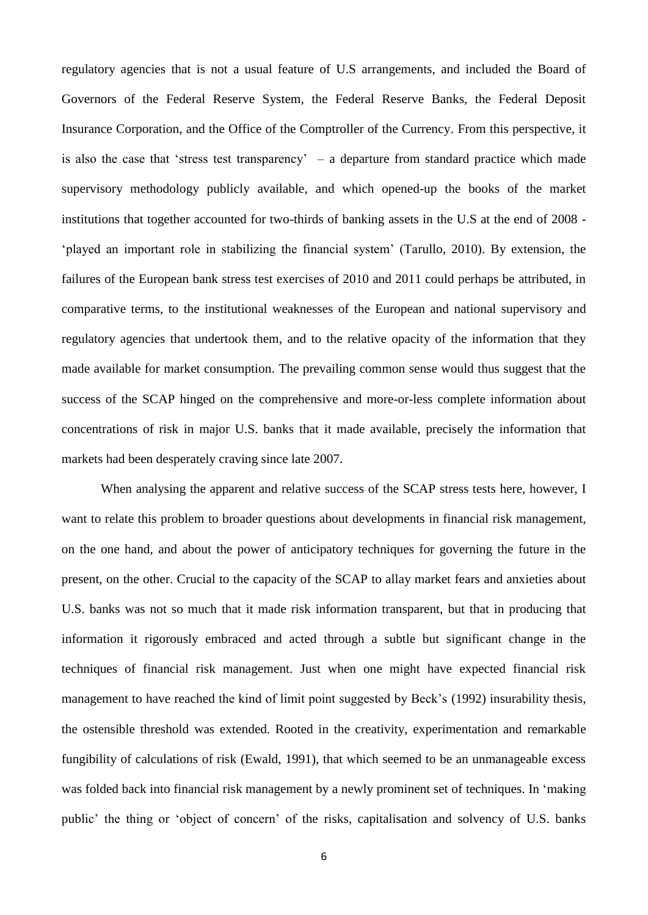regulatory agencies that is not a usual feature of U.S arrangements, and included the Board of Governors of the Federal Reserve System, the Federal Reserve Banks, the Federal Deposit Insurance Corporation, and the Office of the Comptroller of the Currency. From this perspective, it is also the case that 'stress test transparency' – a departure from standard practice which made supervisory methodology publicly available, and which opened-up the books of the market institutions that together accounted for two-thirds of banking assets in the U.S at the end of 2008 - 'played an important role in stabilizing the financial system' (Tarullo, 2010). By extension, the failures of the European bank stress test exercises of 2010 and 2011 could perhaps be attributed, in comparative terms, to the institutional weaknesses of the European and national supervisory and regulatory agencies that undertook them, and to the relative opacity of the information that they made available for market consumption. The prevailing common sense would thus suggest that the success of the SCAP hinged on the comprehensive and more-or-less complete information about concentrations of risk in major U.S. banks that it made available, precisely the information that markets had been desperately craving since late 2007.

When analysing the apparent and relative success of the SCAP stress tests here, however, I want to relate this problem to broader questions about developments in financial risk management, on the one hand, and about the power of anticipatory techniques for governing the future in the present, on the other. Crucial to the capacity of the SCAP to allay market fears and anxieties about U.S. banks was not so much that it made risk information transparent, but that in producing that information it rigorously embraced and acted through a subtle but significant change in the techniques of financial risk management. Just when one might have expected financial risk management to have reached the kind of limit point suggested by Beck's (1992) insurability thesis, the ostensible threshold was extended. Rooted in the creativity, experimentation and remarkable fungibility of calculations of risk (Ewald, 1991), that which seemed to be an unmanageable excess was folded back into financial risk management by a newly prominent set of techniques. In 'making public' the thing or 'object of concern' of the risks, capitalisation and solvency of U.S. banks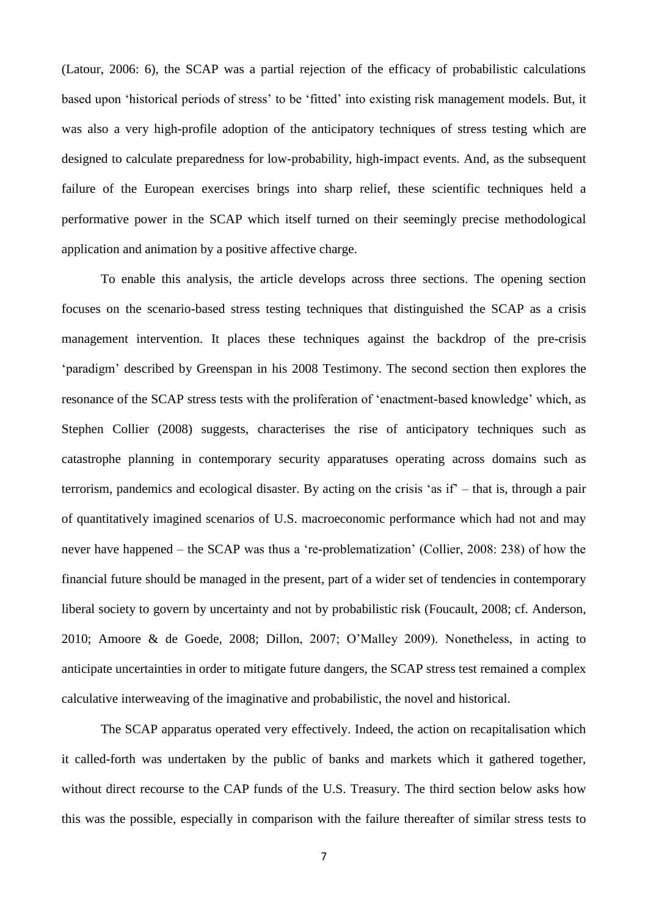(Latour, 2006: 6), the SCAP was a partial rejection of the efficacy of probabilistic calculations based upon 'historical periods of stress' to be 'fitted' into existing risk management models. But, it was also a very high-profile adoption of the anticipatory techniques of stress testing which are designed to calculate preparedness for low-probability, high-impact events. And, as the subsequent failure of the European exercises brings into sharp relief, these scientific techniques held a performative power in the SCAP which itself turned on their seemingly precise methodological application and animation by a positive affective charge.

To enable this analysis, the article develops across three sections. The opening section focuses on the scenario-based stress testing techniques that distinguished the SCAP as a crisis management intervention. It places these techniques against the backdrop of the pre-crisis 'paradigm' described by Greenspan in his 2008 Testimony. The second section then explores the resonance of the SCAP stress tests with the proliferation of 'enactment-based knowledge' which, as Stephen Collier (2008) suggests, characterises the rise of anticipatory techniques such as catastrophe planning in contemporary security apparatuses operating across domains such as terrorism, pandemics and ecological disaster. By acting on the crisis 'as if' – that is, through a pair of quantitatively imagined scenarios of U.S. macroeconomic performance which had not and may never have happened – the SCAP was thus a 're-problematization' (Collier, 2008: 238) of how the financial future should be managed in the present, part of a wider set of tendencies in contemporary liberal society to govern by uncertainty and not by probabilistic risk (Foucault, 2008; cf. Anderson, 2010; Amoore & de Goede, 2008; Dillon, 2007; O'Malley 2009). Nonetheless, in acting to anticipate uncertainties in order to mitigate future dangers, the SCAP stress test remained a complex calculative interweaving of the imaginative and probabilistic, the novel and historical.

The SCAP apparatus operated very effectively. Indeed, the action on recapitalisation which it called-forth was undertaken by the public of banks and markets which it gathered together, without direct recourse to the CAP funds of the U.S. Treasury. The third section below asks how this was the possible, especially in comparison with the failure thereafter of similar stress tests to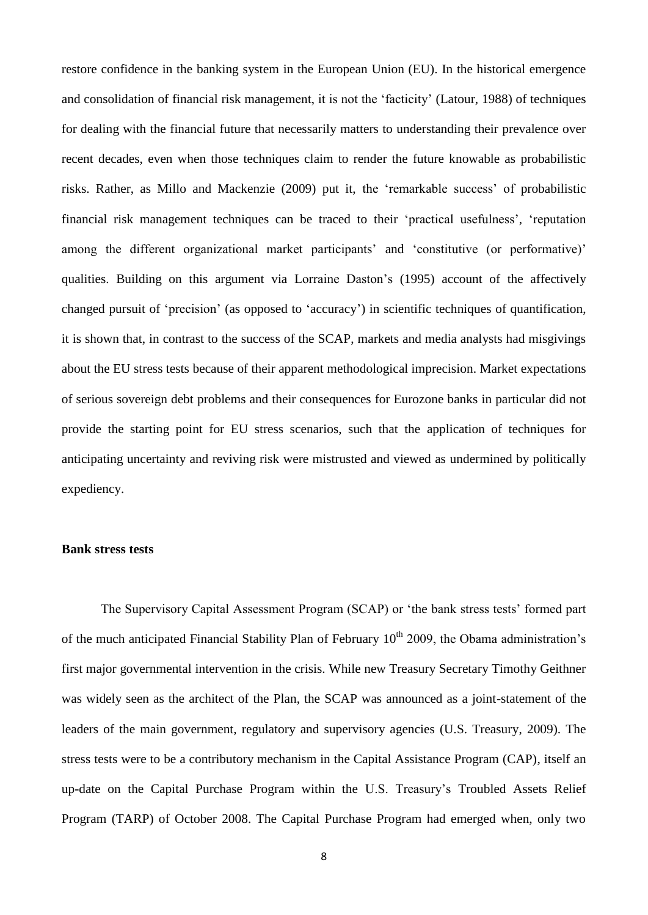restore confidence in the banking system in the European Union (EU). In the historical emergence and consolidation of financial risk management, it is not the 'facticity' (Latour, 1988) of techniques for dealing with the financial future that necessarily matters to understanding their prevalence over recent decades, even when those techniques claim to render the future knowable as probabilistic risks. Rather, as Millo and Mackenzie (2009) put it, the 'remarkable success' of probabilistic financial risk management techniques can be traced to their 'practical usefulness', 'reputation among the different organizational market participants' and 'constitutive (or performative)' qualities. Building on this argument via Lorraine Daston's (1995) account of the affectively changed pursuit of 'precision' (as opposed to 'accuracy') in scientific techniques of quantification, it is shown that, in contrast to the success of the SCAP, markets and media analysts had misgivings about the EU stress tests because of their apparent methodological imprecision. Market expectations of serious sovereign debt problems and their consequences for Eurozone banks in particular did not provide the starting point for EU stress scenarios, such that the application of techniques for anticipating uncertainty and reviving risk were mistrusted and viewed as undermined by politically expediency.

### **Bank stress tests**

The Supervisory Capital Assessment Program (SCAP) or 'the bank stress tests' formed part of the much anticipated Financial Stability Plan of February  $10^{th}$  2009, the Obama administration's first major governmental intervention in the crisis. While new Treasury Secretary Timothy Geithner was widely seen as the architect of the Plan, the SCAP was announced as a joint-statement of the leaders of the main government, regulatory and supervisory agencies (U.S. Treasury, 2009). The stress tests were to be a contributory mechanism in the Capital Assistance Program (CAP), itself an up-date on the Capital Purchase Program within the U.S. Treasury's Troubled Assets Relief Program (TARP) of October 2008. The Capital Purchase Program had emerged when, only two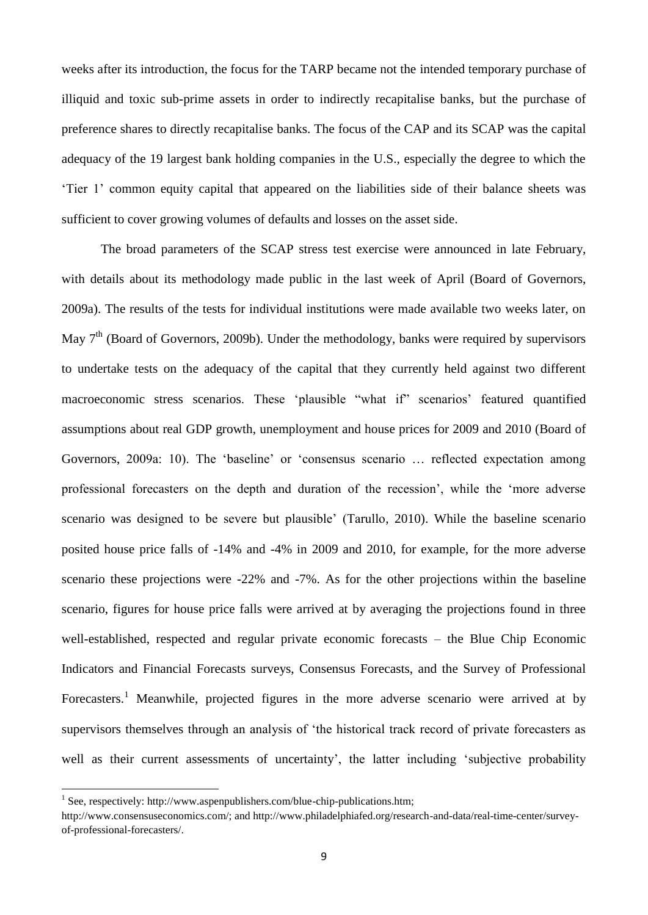weeks after its introduction, the focus for the TARP became not the intended temporary purchase of illiquid and toxic sub-prime assets in order to indirectly recapitalise banks, but the purchase of preference shares to directly recapitalise banks. The focus of the CAP and its SCAP was the capital adequacy of the 19 largest bank holding companies in the U.S., especially the degree to which the 'Tier 1' common equity capital that appeared on the liabilities side of their balance sheets was sufficient to cover growing volumes of defaults and losses on the asset side.

The broad parameters of the SCAP stress test exercise were announced in late February, with details about its methodology made public in the last week of April (Board of Governors, 2009a). The results of the tests for individual institutions were made available two weeks later, on May  $7<sup>th</sup>$  (Board of Governors, 2009b). Under the methodology, banks were required by supervisors to undertake tests on the adequacy of the capital that they currently held against two different macroeconomic stress scenarios. These 'plausible "what if" scenarios' featured quantified assumptions about real GDP growth, unemployment and house prices for 2009 and 2010 (Board of Governors, 2009a: 10). The 'baseline' or 'consensus scenario … reflected expectation among professional forecasters on the depth and duration of the recession', while the 'more adverse scenario was designed to be severe but plausible' (Tarullo, 2010). While the baseline scenario posited house price falls of -14% and -4% in 2009 and 2010, for example, for the more adverse scenario these projections were -22% and -7%. As for the other projections within the baseline scenario, figures for house price falls were arrived at by averaging the projections found in three well-established, respected and regular private economic forecasts – the Blue Chip Economic Indicators and Financial Forecasts surveys, Consensus Forecasts, and the Survey of Professional Forecasters.<sup>1</sup> Meanwhile, projected figures in the more adverse scenario were arrived at by supervisors themselves through an analysis of 'the historical track record of private forecasters as well as their current assessments of uncertainty', the latter including 'subjective probability

**.** 

<sup>&</sup>lt;sup>1</sup> See, respectively: http://www.aspenpublishers.com/blue-chip-publications.htm;

http://www.consensuseconomics.com/; and http://www.philadelphiafed.org/research-and-data/real-time-center/surveyof-professional-forecasters/.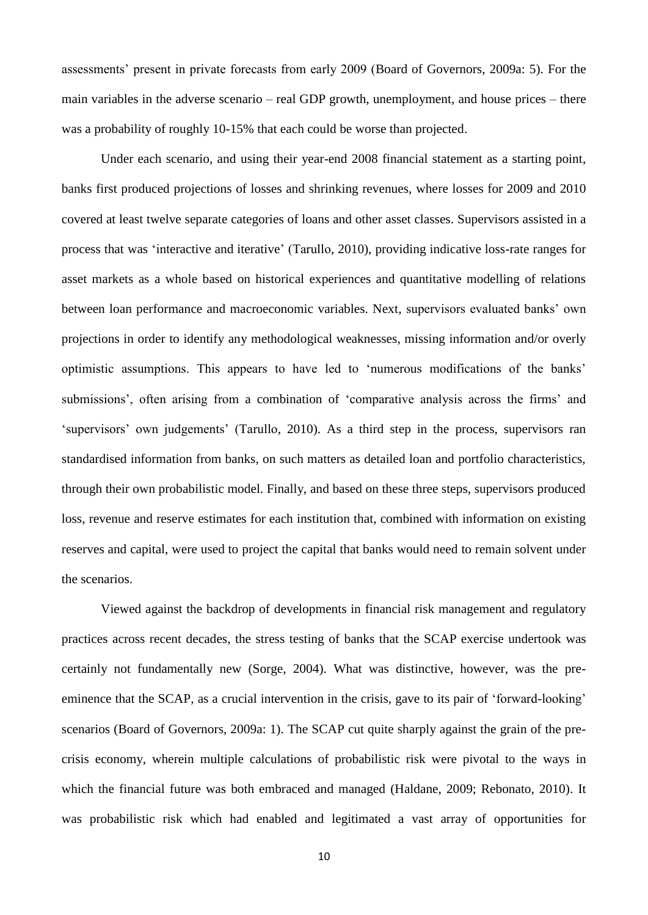assessments' present in private forecasts from early 2009 (Board of Governors, 2009a: 5). For the main variables in the adverse scenario – real GDP growth, unemployment, and house prices – there was a probability of roughly 10-15% that each could be worse than projected.

Under each scenario, and using their year-end 2008 financial statement as a starting point, banks first produced projections of losses and shrinking revenues, where losses for 2009 and 2010 covered at least twelve separate categories of loans and other asset classes. Supervisors assisted in a process that was 'interactive and iterative' (Tarullo, 2010), providing indicative loss-rate ranges for asset markets as a whole based on historical experiences and quantitative modelling of relations between loan performance and macroeconomic variables. Next, supervisors evaluated banks' own projections in order to identify any methodological weaknesses, missing information and/or overly optimistic assumptions. This appears to have led to 'numerous modifications of the banks' submissions', often arising from a combination of 'comparative analysis across the firms' and 'supervisors' own judgements' (Tarullo, 2010). As a third step in the process, supervisors ran standardised information from banks, on such matters as detailed loan and portfolio characteristics, through their own probabilistic model. Finally, and based on these three steps, supervisors produced loss, revenue and reserve estimates for each institution that, combined with information on existing reserves and capital, were used to project the capital that banks would need to remain solvent under the scenarios.

Viewed against the backdrop of developments in financial risk management and regulatory practices across recent decades, the stress testing of banks that the SCAP exercise undertook was certainly not fundamentally new (Sorge, 2004). What was distinctive, however, was the preeminence that the SCAP, as a crucial intervention in the crisis, gave to its pair of 'forward-looking' scenarios (Board of Governors, 2009a: 1). The SCAP cut quite sharply against the grain of the precrisis economy, wherein multiple calculations of probabilistic risk were pivotal to the ways in which the financial future was both embraced and managed (Haldane, 2009; Rebonato, 2010). It was probabilistic risk which had enabled and legitimated a vast array of opportunities for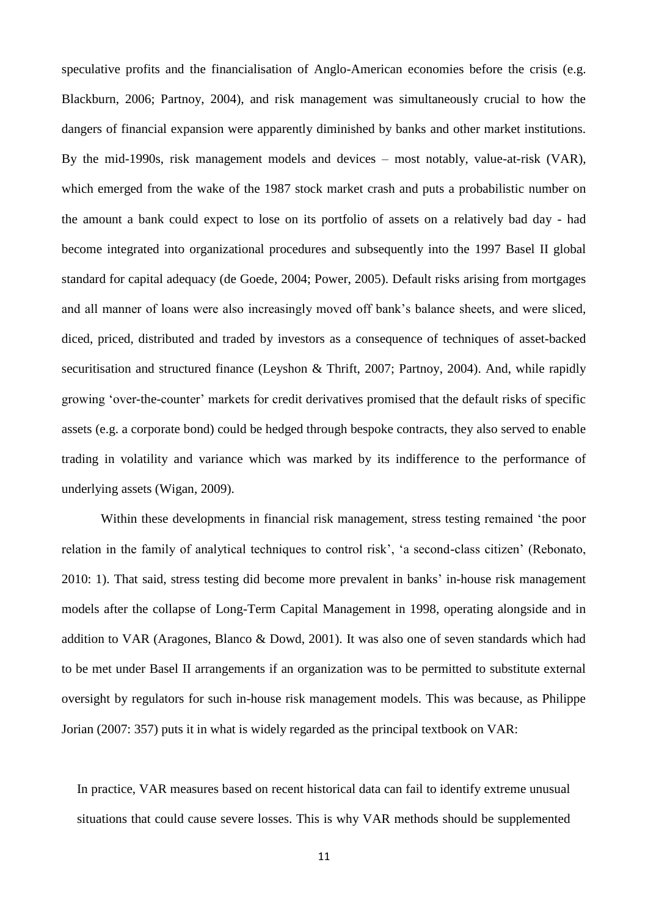speculative profits and the financialisation of Anglo-American economies before the crisis (e.g. Blackburn, 2006; Partnoy, 2004), and risk management was simultaneously crucial to how the dangers of financial expansion were apparently diminished by banks and other market institutions. By the mid-1990s, risk management models and devices – most notably, value-at-risk (VAR), which emerged from the wake of the 1987 stock market crash and puts a probabilistic number on the amount a bank could expect to lose on its portfolio of assets on a relatively bad day - had become integrated into organizational procedures and subsequently into the 1997 Basel II global standard for capital adequacy (de Goede, 2004; Power, 2005). Default risks arising from mortgages and all manner of loans were also increasingly moved off bank's balance sheets, and were sliced, diced, priced, distributed and traded by investors as a consequence of techniques of asset-backed securitisation and structured finance (Leyshon & Thrift, 2007; Partnoy, 2004). And, while rapidly growing 'over-the-counter' markets for credit derivatives promised that the default risks of specific assets (e.g. a corporate bond) could be hedged through bespoke contracts, they also served to enable trading in volatility and variance which was marked by its indifference to the performance of underlying assets (Wigan, 2009).

Within these developments in financial risk management, stress testing remained 'the poor relation in the family of analytical techniques to control risk', 'a second-class citizen' (Rebonato, 2010: 1). That said, stress testing did become more prevalent in banks' in-house risk management models after the collapse of Long-Term Capital Management in 1998, operating alongside and in addition to VAR (Aragones, Blanco & Dowd, 2001). It was also one of seven standards which had to be met under Basel II arrangements if an organization was to be permitted to substitute external oversight by regulators for such in-house risk management models. This was because, as Philippe Jorian (2007: 357) puts it in what is widely regarded as the principal textbook on VAR:

In practice, VAR measures based on recent historical data can fail to identify extreme unusual situations that could cause severe losses. This is why VAR methods should be supplemented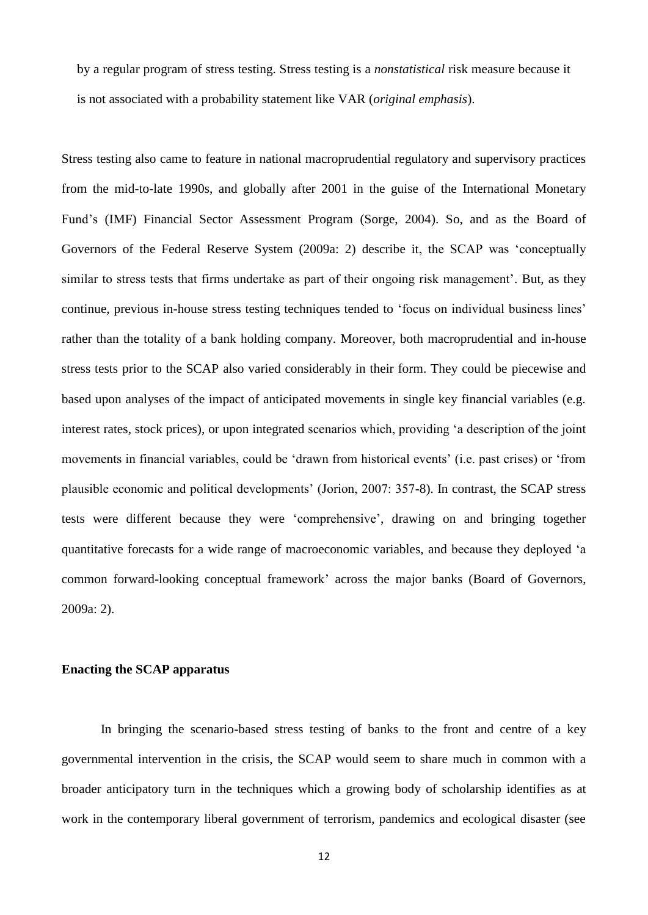by a regular program of stress testing. Stress testing is a *nonstatistical* risk measure because it is not associated with a probability statement like VAR (*original emphasis*).

Stress testing also came to feature in national macroprudential regulatory and supervisory practices from the mid-to-late 1990s, and globally after 2001 in the guise of the International Monetary Fund's (IMF) Financial Sector Assessment Program (Sorge, 2004). So, and as the Board of Governors of the Federal Reserve System (2009a: 2) describe it, the SCAP was 'conceptually similar to stress tests that firms undertake as part of their ongoing risk management'. But, as they continue, previous in-house stress testing techniques tended to 'focus on individual business lines' rather than the totality of a bank holding company. Moreover, both macroprudential and in-house stress tests prior to the SCAP also varied considerably in their form. They could be piecewise and based upon analyses of the impact of anticipated movements in single key financial variables (e.g. interest rates, stock prices), or upon integrated scenarios which, providing 'a description of the joint movements in financial variables, could be 'drawn from historical events' (i.e. past crises) or 'from plausible economic and political developments' (Jorion, 2007: 357-8). In contrast, the SCAP stress tests were different because they were 'comprehensive', drawing on and bringing together quantitative forecasts for a wide range of macroeconomic variables, and because they deployed 'a common forward-looking conceptual framework' across the major banks (Board of Governors, 2009a: 2).

#### **Enacting the SCAP apparatus**

In bringing the scenario-based stress testing of banks to the front and centre of a key governmental intervention in the crisis, the SCAP would seem to share much in common with a broader anticipatory turn in the techniques which a growing body of scholarship identifies as at work in the contemporary liberal government of terrorism, pandemics and ecological disaster (see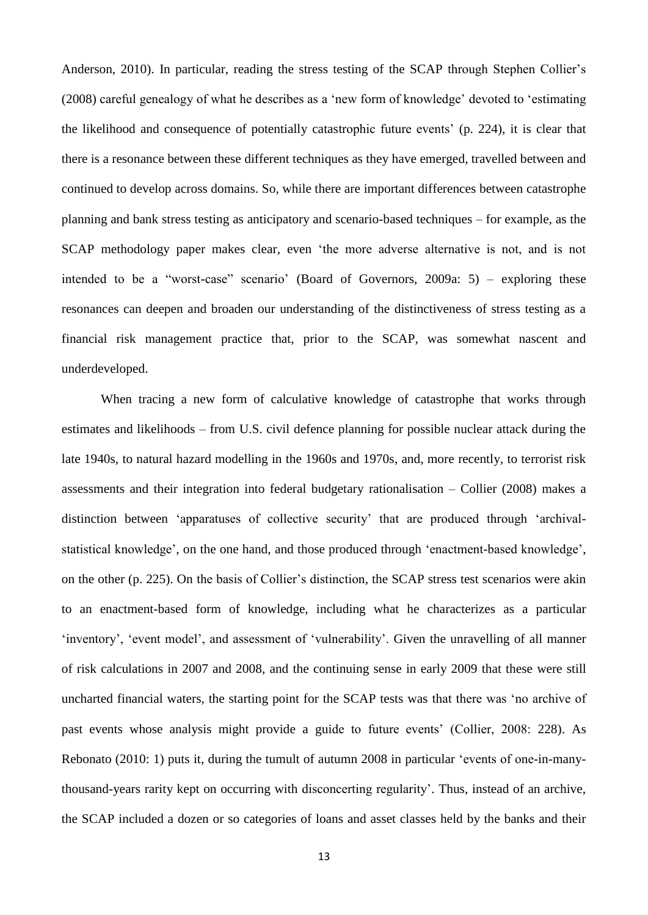Anderson, 2010). In particular, reading the stress testing of the SCAP through Stephen Collier's (2008) careful genealogy of what he describes as a 'new form of knowledge' devoted to 'estimating the likelihood and consequence of potentially catastrophic future events' (p. 224), it is clear that there is a resonance between these different techniques as they have emerged, travelled between and continued to develop across domains. So, while there are important differences between catastrophe planning and bank stress testing as anticipatory and scenario-based techniques – for example, as the SCAP methodology paper makes clear, even 'the more adverse alternative is not, and is not intended to be a "worst-case" scenario' (Board of Governors, 2009a: 5) – exploring these resonances can deepen and broaden our understanding of the distinctiveness of stress testing as a financial risk management practice that, prior to the SCAP, was somewhat nascent and underdeveloped.

When tracing a new form of calculative knowledge of catastrophe that works through estimates and likelihoods – from U.S. civil defence planning for possible nuclear attack during the late 1940s, to natural hazard modelling in the 1960s and 1970s, and, more recently, to terrorist risk assessments and their integration into federal budgetary rationalisation – Collier (2008) makes a distinction between 'apparatuses of collective security' that are produced through 'archivalstatistical knowledge', on the one hand, and those produced through 'enactment-based knowledge', on the other (p. 225). On the basis of Collier's distinction, the SCAP stress test scenarios were akin to an enactment-based form of knowledge, including what he characterizes as a particular 'inventory', 'event model', and assessment of 'vulnerability'. Given the unravelling of all manner of risk calculations in 2007 and 2008, and the continuing sense in early 2009 that these were still uncharted financial waters, the starting point for the SCAP tests was that there was 'no archive of past events whose analysis might provide a guide to future events' (Collier, 2008: 228). As Rebonato (2010: 1) puts it, during the tumult of autumn 2008 in particular 'events of one-in-manythousand-years rarity kept on occurring with disconcerting regularity'. Thus, instead of an archive, the SCAP included a dozen or so categories of loans and asset classes held by the banks and their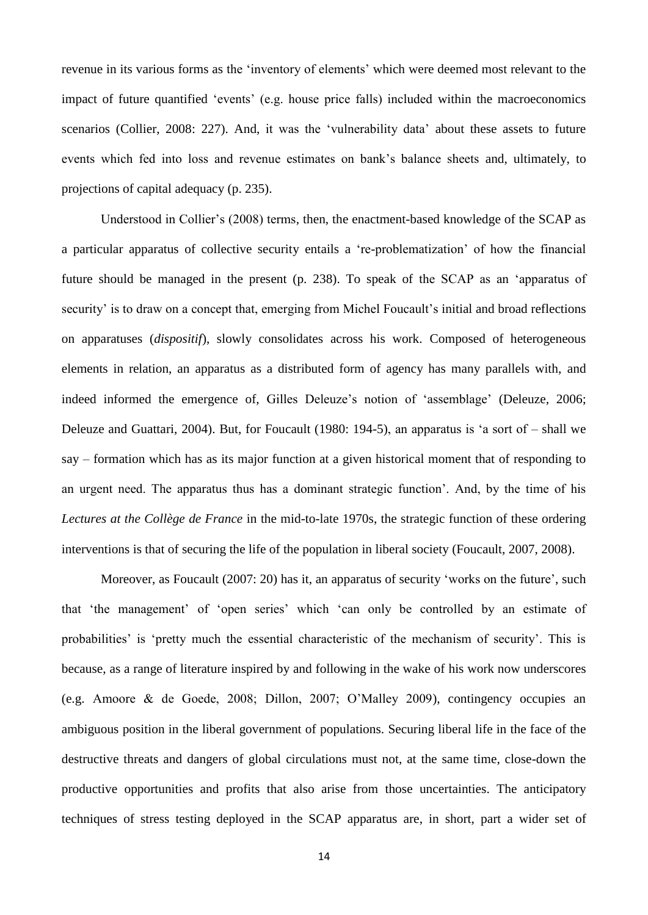revenue in its various forms as the 'inventory of elements' which were deemed most relevant to the impact of future quantified 'events' (e.g. house price falls) included within the macroeconomics scenarios (Collier, 2008: 227). And, it was the 'vulnerability data' about these assets to future events which fed into loss and revenue estimates on bank's balance sheets and, ultimately, to projections of capital adequacy (p. 235).

Understood in Collier's (2008) terms, then, the enactment-based knowledge of the SCAP as a particular apparatus of collective security entails a 're-problematization' of how the financial future should be managed in the present (p. 238). To speak of the SCAP as an 'apparatus of security' is to draw on a concept that, emerging from Michel Foucault's initial and broad reflections on apparatuses (*dispositif*), slowly consolidates across his work. Composed of heterogeneous elements in relation, an apparatus as a distributed form of agency has many parallels with, and indeed informed the emergence of, Gilles Deleuze's notion of 'assemblage' (Deleuze, 2006; Deleuze and Guattari, 2004). But, for Foucault (1980: 194-5), an apparatus is 'a sort of – shall we say – formation which has as its major function at a given historical moment that of responding to an urgent need. The apparatus thus has a dominant strategic function'. And, by the time of his *Lectures at the Collège de France* in the mid-to-late 1970s, the strategic function of these ordering interventions is that of securing the life of the population in liberal society (Foucault, 2007, 2008).

Moreover, as Foucault (2007: 20) has it, an apparatus of security 'works on the future', such that 'the management' of 'open series' which 'can only be controlled by an estimate of probabilities' is 'pretty much the essential characteristic of the mechanism of security'. This is because, as a range of literature inspired by and following in the wake of his work now underscores (e.g. Amoore & de Goede, 2008; Dillon, 2007; O'Malley 2009), contingency occupies an ambiguous position in the liberal government of populations. Securing liberal life in the face of the destructive threats and dangers of global circulations must not, at the same time, close-down the productive opportunities and profits that also arise from those uncertainties. The anticipatory techniques of stress testing deployed in the SCAP apparatus are, in short, part a wider set of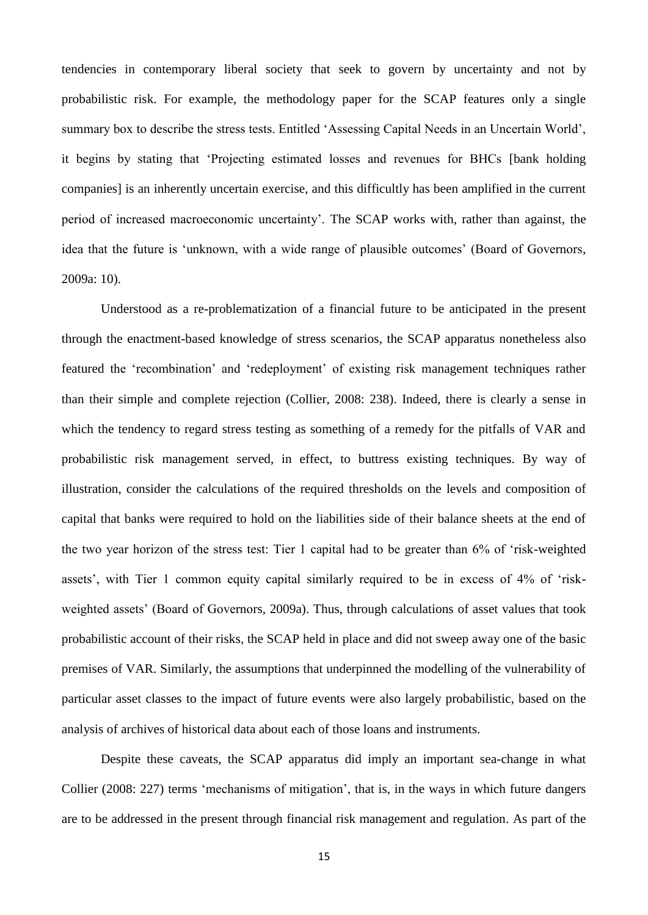tendencies in contemporary liberal society that seek to govern by uncertainty and not by probabilistic risk. For example, the methodology paper for the SCAP features only a single summary box to describe the stress tests. Entitled 'Assessing Capital Needs in an Uncertain World', it begins by stating that 'Projecting estimated losses and revenues for BHCs [bank holding companies] is an inherently uncertain exercise, and this difficultly has been amplified in the current period of increased macroeconomic uncertainty'. The SCAP works with, rather than against, the idea that the future is 'unknown, with a wide range of plausible outcomes' (Board of Governors, 2009a: 10).

Understood as a re-problematization of a financial future to be anticipated in the present through the enactment-based knowledge of stress scenarios, the SCAP apparatus nonetheless also featured the 'recombination' and 'redeployment' of existing risk management techniques rather than their simple and complete rejection (Collier, 2008: 238). Indeed, there is clearly a sense in which the tendency to regard stress testing as something of a remedy for the pitfalls of VAR and probabilistic risk management served, in effect, to buttress existing techniques. By way of illustration, consider the calculations of the required thresholds on the levels and composition of capital that banks were required to hold on the liabilities side of their balance sheets at the end of the two year horizon of the stress test: Tier 1 capital had to be greater than 6% of 'risk-weighted assets', with Tier 1 common equity capital similarly required to be in excess of 4% of 'riskweighted assets' (Board of Governors, 2009a). Thus, through calculations of asset values that took probabilistic account of their risks, the SCAP held in place and did not sweep away one of the basic premises of VAR. Similarly, the assumptions that underpinned the modelling of the vulnerability of particular asset classes to the impact of future events were also largely probabilistic, based on the analysis of archives of historical data about each of those loans and instruments.

Despite these caveats, the SCAP apparatus did imply an important sea-change in what Collier (2008: 227) terms 'mechanisms of mitigation', that is, in the ways in which future dangers are to be addressed in the present through financial risk management and regulation. As part of the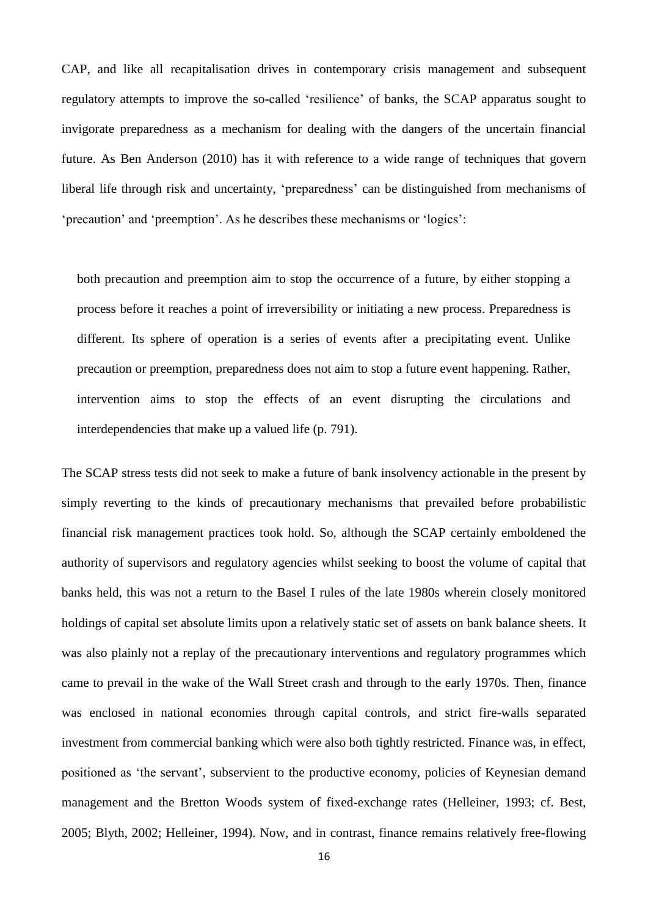CAP, and like all recapitalisation drives in contemporary crisis management and subsequent regulatory attempts to improve the so-called 'resilience' of banks, the SCAP apparatus sought to invigorate preparedness as a mechanism for dealing with the dangers of the uncertain financial future. As Ben Anderson (2010) has it with reference to a wide range of techniques that govern liberal life through risk and uncertainty, 'preparedness' can be distinguished from mechanisms of 'precaution' and 'preemption'. As he describes these mechanisms or 'logics':

both precaution and preemption aim to stop the occurrence of a future, by either stopping a process before it reaches a point of irreversibility or initiating a new process. Preparedness is different. Its sphere of operation is a series of events after a precipitating event. Unlike precaution or preemption, preparedness does not aim to stop a future event happening. Rather, intervention aims to stop the effects of an event disrupting the circulations and interdependencies that make up a valued life (p. 791).

The SCAP stress tests did not seek to make a future of bank insolvency actionable in the present by simply reverting to the kinds of precautionary mechanisms that prevailed before probabilistic financial risk management practices took hold. So, although the SCAP certainly emboldened the authority of supervisors and regulatory agencies whilst seeking to boost the volume of capital that banks held, this was not a return to the Basel I rules of the late 1980s wherein closely monitored holdings of capital set absolute limits upon a relatively static set of assets on bank balance sheets. It was also plainly not a replay of the precautionary interventions and regulatory programmes which came to prevail in the wake of the Wall Street crash and through to the early 1970s. Then, finance was enclosed in national economies through capital controls, and strict fire-walls separated investment from commercial banking which were also both tightly restricted. Finance was, in effect, positioned as 'the servant', subservient to the productive economy, policies of Keynesian demand management and the Bretton Woods system of fixed-exchange rates (Helleiner, 1993; cf. Best, 2005; Blyth, 2002; Helleiner, 1994). Now, and in contrast, finance remains relatively free-flowing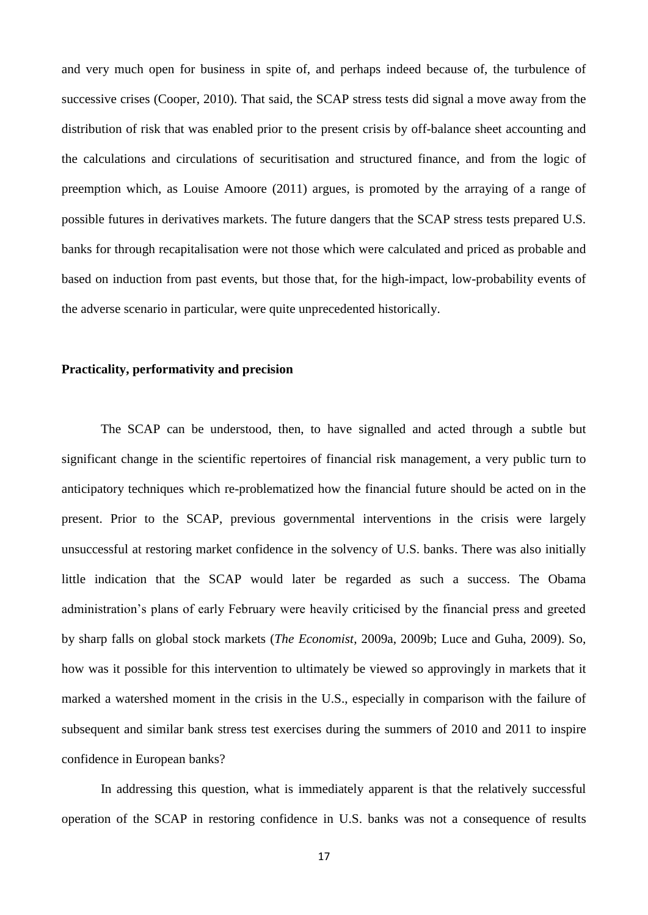and very much open for business in spite of, and perhaps indeed because of, the turbulence of successive crises (Cooper, 2010). That said, the SCAP stress tests did signal a move away from the distribution of risk that was enabled prior to the present crisis by off-balance sheet accounting and the calculations and circulations of securitisation and structured finance, and from the logic of preemption which, as Louise Amoore (2011) argues, is promoted by the arraying of a range of possible futures in derivatives markets. The future dangers that the SCAP stress tests prepared U.S. banks for through recapitalisation were not those which were calculated and priced as probable and based on induction from past events, but those that, for the high-impact, low-probability events of the adverse scenario in particular, were quite unprecedented historically.

#### **Practicality, performativity and precision**

The SCAP can be understood, then, to have signalled and acted through a subtle but significant change in the scientific repertoires of financial risk management, a very public turn to anticipatory techniques which re-problematized how the financial future should be acted on in the present. Prior to the SCAP, previous governmental interventions in the crisis were largely unsuccessful at restoring market confidence in the solvency of U.S. banks. There was also initially little indication that the SCAP would later be regarded as such a success. The Obama administration's plans of early February were heavily criticised by the financial press and greeted by sharp falls on global stock markets (*The Economist*, 2009a, 2009b; Luce and Guha, 2009). So, how was it possible for this intervention to ultimately be viewed so approvingly in markets that it marked a watershed moment in the crisis in the U.S., especially in comparison with the failure of subsequent and similar bank stress test exercises during the summers of 2010 and 2011 to inspire confidence in European banks?

In addressing this question, what is immediately apparent is that the relatively successful operation of the SCAP in restoring confidence in U.S. banks was not a consequence of results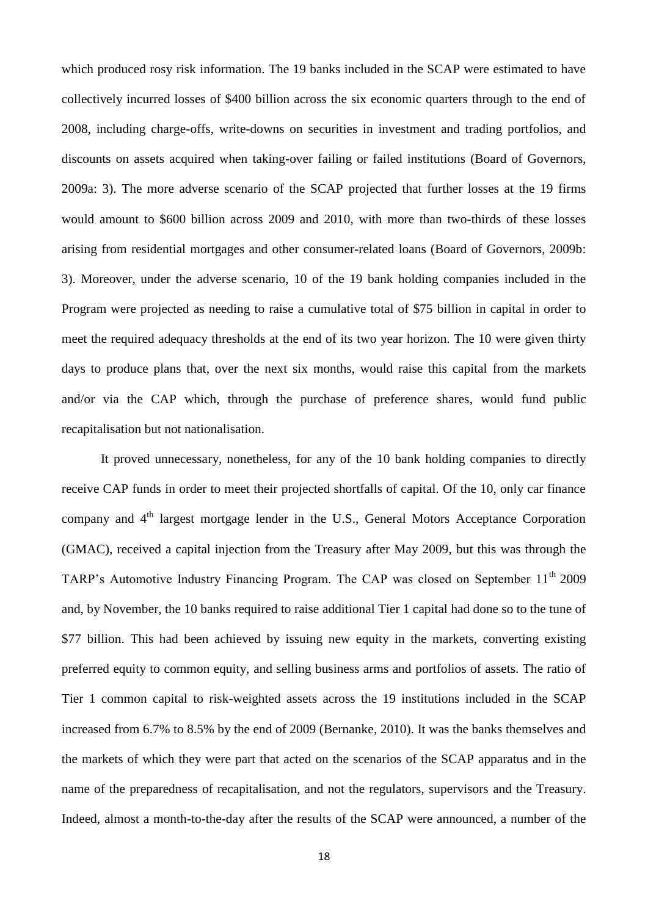which produced rosy risk information. The 19 banks included in the SCAP were estimated to have collectively incurred losses of \$400 billion across the six economic quarters through to the end of 2008, including charge-offs, write-downs on securities in investment and trading portfolios, and discounts on assets acquired when taking-over failing or failed institutions (Board of Governors, 2009a: 3). The more adverse scenario of the SCAP projected that further losses at the 19 firms would amount to \$600 billion across 2009 and 2010, with more than two-thirds of these losses arising from residential mortgages and other consumer-related loans (Board of Governors, 2009b: 3). Moreover, under the adverse scenario, 10 of the 19 bank holding companies included in the Program were projected as needing to raise a cumulative total of \$75 billion in capital in order to meet the required adequacy thresholds at the end of its two year horizon. The 10 were given thirty days to produce plans that, over the next six months, would raise this capital from the markets and/or via the CAP which, through the purchase of preference shares, would fund public recapitalisation but not nationalisation.

It proved unnecessary, nonetheless, for any of the 10 bank holding companies to directly receive CAP funds in order to meet their projected shortfalls of capital. Of the 10, only car finance company and 4<sup>th</sup> largest mortgage lender in the U.S., General Motors Acceptance Corporation (GMAC), received a capital injection from the Treasury after May 2009, but this was through the TARP's Automotive Industry Financing Program. The CAP was closed on September 11<sup>th</sup> 2009 and, by November, the 10 banks required to raise additional Tier 1 capital had done so to the tune of \$77 billion. This had been achieved by issuing new equity in the markets, converting existing preferred equity to common equity, and selling business arms and portfolios of assets. The ratio of Tier 1 common capital to risk-weighted assets across the 19 institutions included in the SCAP increased from 6.7% to 8.5% by the end of 2009 (Bernanke, 2010). It was the banks themselves and the markets of which they were part that acted on the scenarios of the SCAP apparatus and in the name of the preparedness of recapitalisation, and not the regulators, supervisors and the Treasury. Indeed, almost a month-to-the-day after the results of the SCAP were announced, a number of the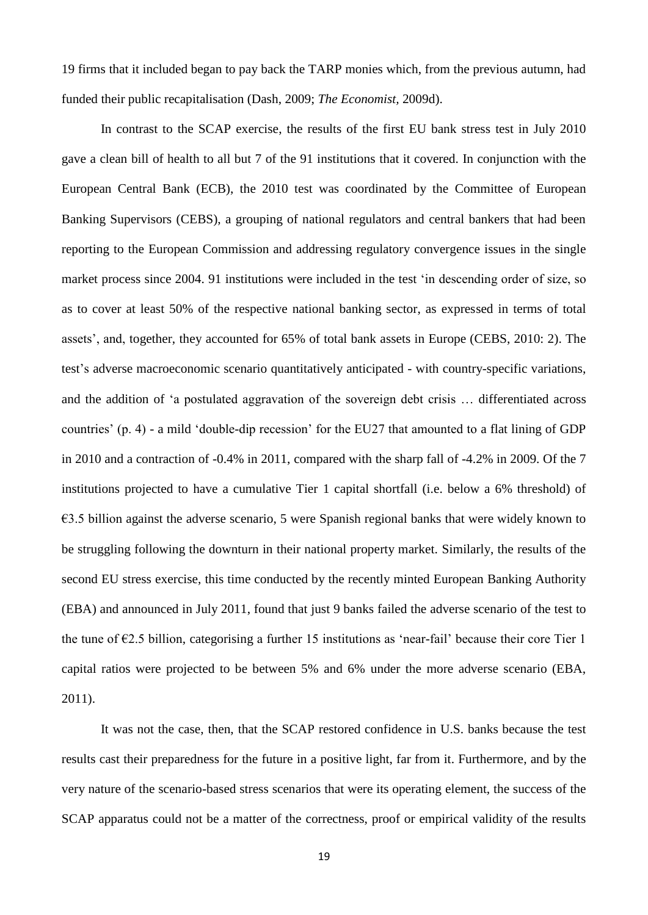19 firms that it included began to pay back the TARP monies which, from the previous autumn, had funded their public recapitalisation (Dash, 2009; *The Economist,* 2009d).

In contrast to the SCAP exercise, the results of the first EU bank stress test in July 2010 gave a clean bill of health to all but 7 of the 91 institutions that it covered. In conjunction with the European Central Bank (ECB), the 2010 test was coordinated by the Committee of European Banking Supervisors (CEBS), a grouping of national regulators and central bankers that had been reporting to the European Commission and addressing regulatory convergence issues in the single market process since 2004. 91 institutions were included in the test 'in descending order of size, so as to cover at least 50% of the respective national banking sector, as expressed in terms of total assets', and, together, they accounted for 65% of total bank assets in Europe (CEBS, 2010: 2). The test's adverse macroeconomic scenario quantitatively anticipated - with country-specific variations, and the addition of 'a postulated aggravation of the sovereign debt crisis … differentiated across countries' (p. 4) - a mild 'double-dip recession' for the EU27 that amounted to a flat lining of GDP in 2010 and a contraction of -0.4% in 2011, compared with the sharp fall of -4.2% in 2009. Of the 7 institutions projected to have a cumulative Tier 1 capital shortfall (i.e. below a 6% threshold) of  $\epsilon$ 3.5 billion against the adverse scenario, 5 were Spanish regional banks that were widely known to be struggling following the downturn in their national property market. Similarly, the results of the second EU stress exercise, this time conducted by the recently minted European Banking Authority (EBA) and announced in July 2011, found that just 9 banks failed the adverse scenario of the test to the tune of  $\epsilon$ 2.5 billion, categorising a further 15 institutions as 'near-fail' because their core Tier 1 capital ratios were projected to be between 5% and 6% under the more adverse scenario (EBA, 2011).

It was not the case, then, that the SCAP restored confidence in U.S. banks because the test results cast their preparedness for the future in a positive light, far from it. Furthermore, and by the very nature of the scenario-based stress scenarios that were its operating element, the success of the SCAP apparatus could not be a matter of the correctness, proof or empirical validity of the results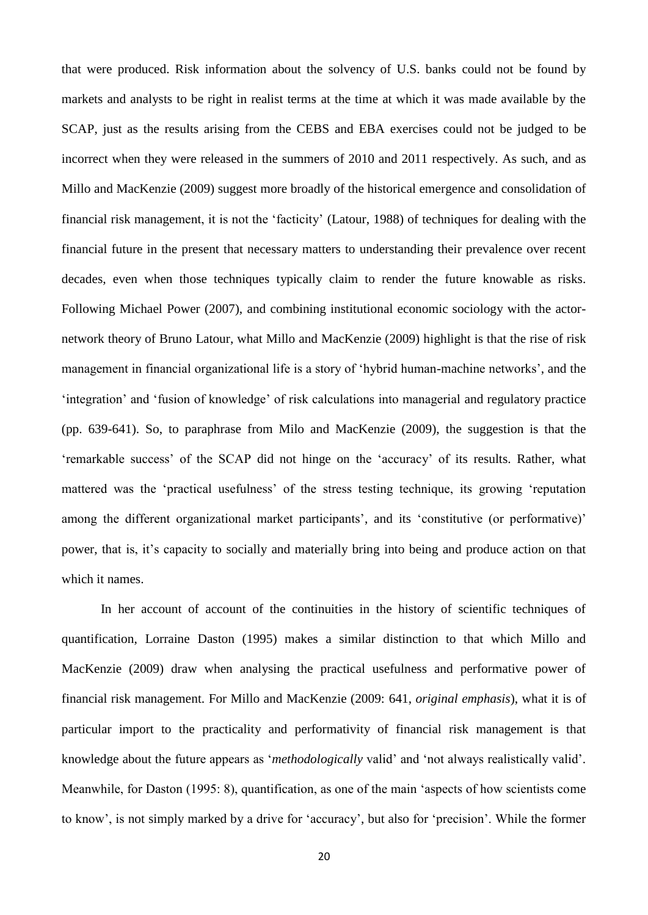that were produced. Risk information about the solvency of U.S. banks could not be found by markets and analysts to be right in realist terms at the time at which it was made available by the SCAP, just as the results arising from the CEBS and EBA exercises could not be judged to be incorrect when they were released in the summers of 2010 and 2011 respectively. As such, and as Millo and MacKenzie (2009) suggest more broadly of the historical emergence and consolidation of financial risk management, it is not the 'facticity' (Latour, 1988) of techniques for dealing with the financial future in the present that necessary matters to understanding their prevalence over recent decades, even when those techniques typically claim to render the future knowable as risks. Following Michael Power (2007), and combining institutional economic sociology with the actornetwork theory of Bruno Latour, what Millo and MacKenzie (2009) highlight is that the rise of risk management in financial organizational life is a story of 'hybrid human-machine networks', and the 'integration' and 'fusion of knowledge' of risk calculations into managerial and regulatory practice (pp. 639-641). So, to paraphrase from Milo and MacKenzie (2009), the suggestion is that the 'remarkable success' of the SCAP did not hinge on the 'accuracy' of its results. Rather, what mattered was the 'practical usefulness' of the stress testing technique, its growing 'reputation among the different organizational market participants', and its 'constitutive (or performative)' power, that is, it's capacity to socially and materially bring into being and produce action on that which it names.

In her account of account of the continuities in the history of scientific techniques of quantification, Lorraine Daston (1995) makes a similar distinction to that which Millo and MacKenzie (2009) draw when analysing the practical usefulness and performative power of financial risk management. For Millo and MacKenzie (2009: 641, *original emphasis*), what it is of particular import to the practicality and performativity of financial risk management is that knowledge about the future appears as '*methodologically* valid' and 'not always realistically valid'. Meanwhile, for Daston (1995: 8), quantification, as one of the main 'aspects of how scientists come to know', is not simply marked by a drive for 'accuracy', but also for 'precision'. While the former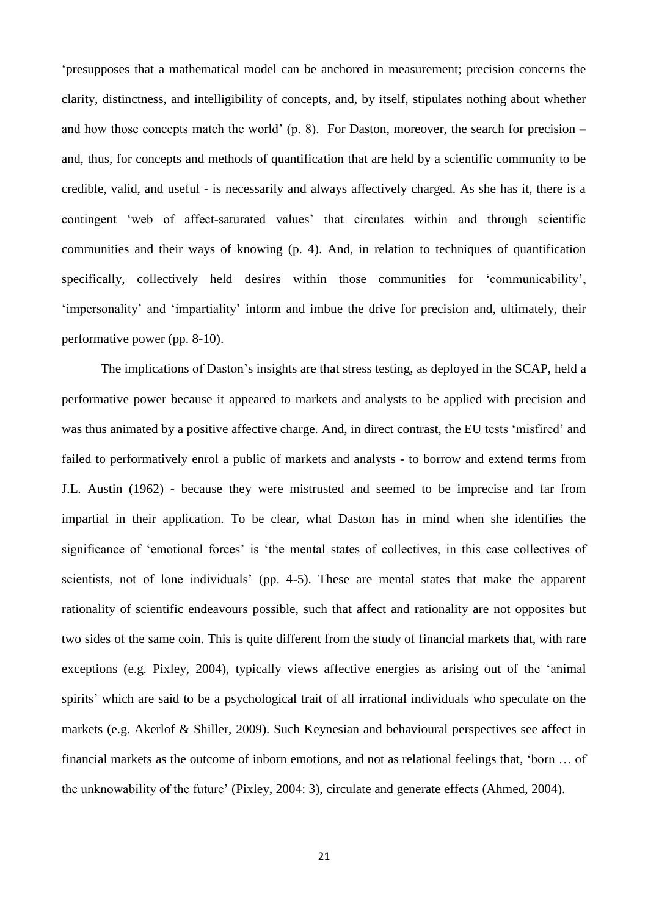'presupposes that a mathematical model can be anchored in measurement; precision concerns the clarity, distinctness, and intelligibility of concepts, and, by itself, stipulates nothing about whether and how those concepts match the world'  $(p, 8)$ . For Daston, moreover, the search for precision – and, thus, for concepts and methods of quantification that are held by a scientific community to be credible, valid, and useful - is necessarily and always affectively charged. As she has it, there is a contingent 'web of affect-saturated values' that circulates within and through scientific communities and their ways of knowing (p. 4). And, in relation to techniques of quantification specifically, collectively held desires within those communities for 'communicability', 'impersonality' and 'impartiality' inform and imbue the drive for precision and, ultimately, their performative power (pp. 8-10).

The implications of Daston's insights are that stress testing, as deployed in the SCAP, held a performative power because it appeared to markets and analysts to be applied with precision and was thus animated by a positive affective charge. And, in direct contrast, the EU tests 'misfired' and failed to performatively enrol a public of markets and analysts - to borrow and extend terms from J.L. Austin (1962) - because they were mistrusted and seemed to be imprecise and far from impartial in their application. To be clear, what Daston has in mind when she identifies the significance of 'emotional forces' is 'the mental states of collectives, in this case collectives of scientists, not of lone individuals' (pp. 4-5). These are mental states that make the apparent rationality of scientific endeavours possible, such that affect and rationality are not opposites but two sides of the same coin. This is quite different from the study of financial markets that, with rare exceptions (e.g. Pixley, 2004), typically views affective energies as arising out of the 'animal spirits' which are said to be a psychological trait of all irrational individuals who speculate on the markets (e.g. Akerlof & Shiller, 2009). Such Keynesian and behavioural perspectives see affect in financial markets as the outcome of inborn emotions, and not as relational feelings that, 'born … of the unknowability of the future' (Pixley, 2004: 3), circulate and generate effects (Ahmed, 2004).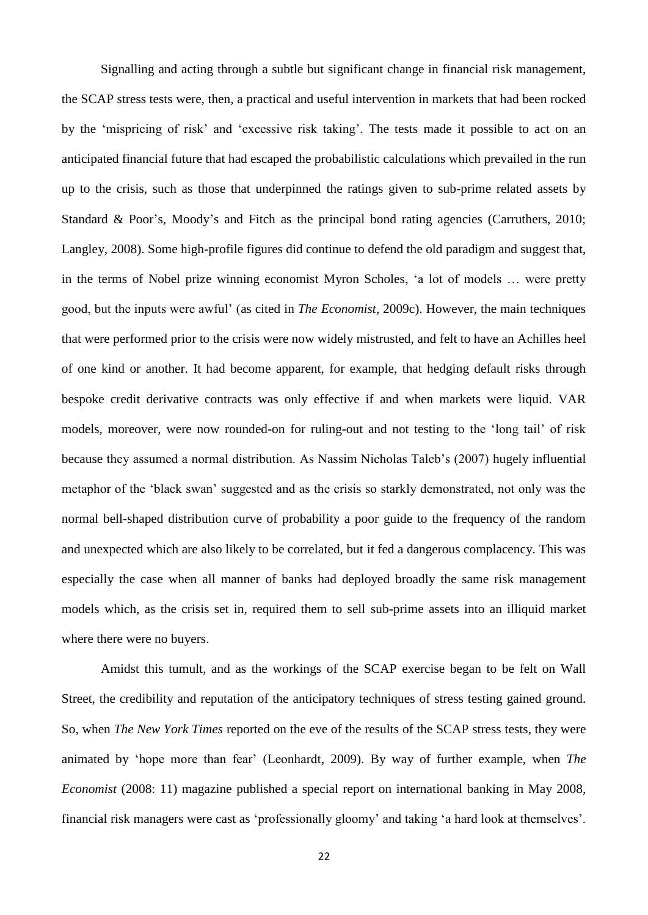Signalling and acting through a subtle but significant change in financial risk management, the SCAP stress tests were, then, a practical and useful intervention in markets that had been rocked by the 'mispricing of risk' and 'excessive risk taking'. The tests made it possible to act on an anticipated financial future that had escaped the probabilistic calculations which prevailed in the run up to the crisis, such as those that underpinned the ratings given to sub-prime related assets by Standard & Poor's, Moody's and Fitch as the principal bond rating agencies (Carruthers, 2010; Langley, 2008). Some high-profile figures did continue to defend the old paradigm and suggest that, in the terms of Nobel prize winning economist Myron Scholes, 'a lot of models … were pretty good, but the inputs were awful' (as cited in *The Economist*, 2009c). However, the main techniques that were performed prior to the crisis were now widely mistrusted, and felt to have an Achilles heel of one kind or another. It had become apparent, for example, that hedging default risks through bespoke credit derivative contracts was only effective if and when markets were liquid. VAR models, moreover, were now rounded-on for ruling-out and not testing to the 'long tail' of risk because they assumed a normal distribution. As Nassim Nicholas Taleb's (2007) hugely influential metaphor of the 'black swan' suggested and as the crisis so starkly demonstrated, not only was the normal bell-shaped distribution curve of probability a poor guide to the frequency of the random and unexpected which are also likely to be correlated, but it fed a dangerous complacency. This was especially the case when all manner of banks had deployed broadly the same risk management models which, as the crisis set in, required them to sell sub-prime assets into an illiquid market where there were no buyers.

Amidst this tumult, and as the workings of the SCAP exercise began to be felt on Wall Street, the credibility and reputation of the anticipatory techniques of stress testing gained ground. So, when *The New York Times* reported on the eve of the results of the SCAP stress tests, they were animated by 'hope more than fear' (Leonhardt, 2009). By way of further example, when *The Economist* (2008: 11) magazine published a special report on international banking in May 2008, financial risk managers were cast as 'professionally gloomy' and taking 'a hard look at themselves'.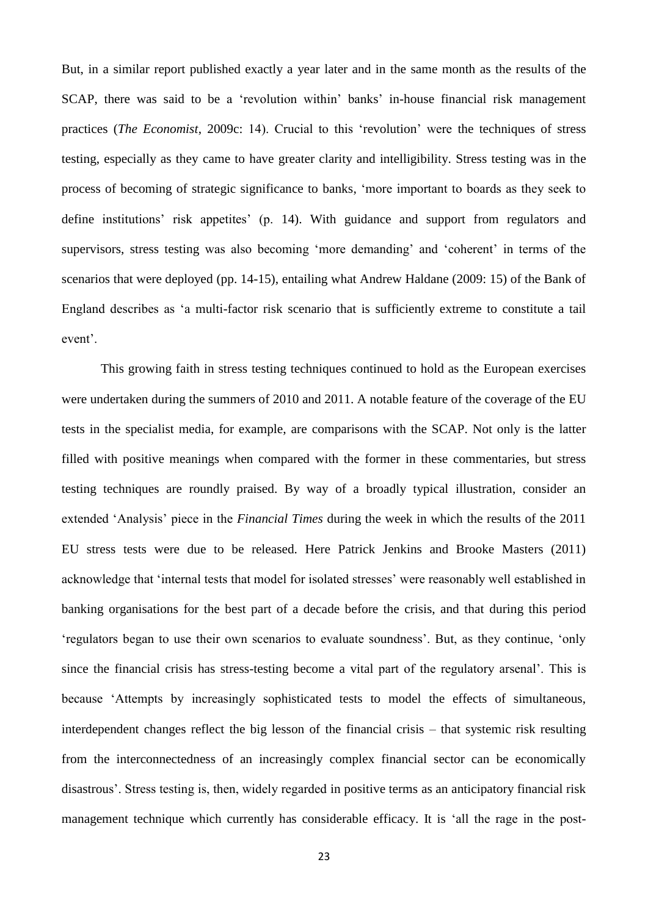But, in a similar report published exactly a year later and in the same month as the results of the SCAP, there was said to be a 'revolution within' banks' in-house financial risk management practices (*The Economist*, 2009c: 14). Crucial to this 'revolution' were the techniques of stress testing, especially as they came to have greater clarity and intelligibility. Stress testing was in the process of becoming of strategic significance to banks, 'more important to boards as they seek to define institutions' risk appetites' (p. 14). With guidance and support from regulators and supervisors, stress testing was also becoming 'more demanding' and 'coherent' in terms of the scenarios that were deployed (pp. 14-15), entailing what Andrew Haldane (2009: 15) of the Bank of England describes as 'a multi-factor risk scenario that is sufficiently extreme to constitute a tail event'.

This growing faith in stress testing techniques continued to hold as the European exercises were undertaken during the summers of 2010 and 2011. A notable feature of the coverage of the EU tests in the specialist media, for example, are comparisons with the SCAP. Not only is the latter filled with positive meanings when compared with the former in these commentaries, but stress testing techniques are roundly praised. By way of a broadly typical illustration, consider an extended 'Analysis' piece in the *Financial Times* during the week in which the results of the 2011 EU stress tests were due to be released. Here Patrick Jenkins and Brooke Masters (2011) acknowledge that 'internal tests that model for isolated stresses' were reasonably well established in banking organisations for the best part of a decade before the crisis, and that during this period 'regulators began to use their own scenarios to evaluate soundness'. But, as they continue, 'only since the financial crisis has stress-testing become a vital part of the regulatory arsenal'. This is because 'Attempts by increasingly sophisticated tests to model the effects of simultaneous, interdependent changes reflect the big lesson of the financial crisis – that systemic risk resulting from the interconnectedness of an increasingly complex financial sector can be economically disastrous'. Stress testing is, then, widely regarded in positive terms as an anticipatory financial risk management technique which currently has considerable efficacy. It is 'all the rage in the post-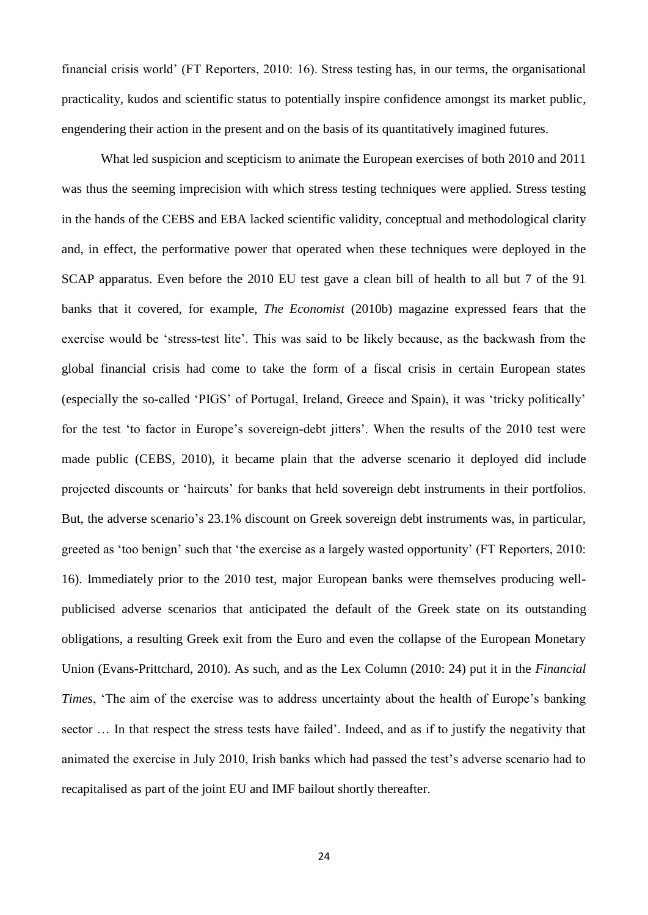financial crisis world' (FT Reporters, 2010: 16). Stress testing has, in our terms, the organisational practicality, kudos and scientific status to potentially inspire confidence amongst its market public, engendering their action in the present and on the basis of its quantitatively imagined futures.

What led suspicion and scepticism to animate the European exercises of both 2010 and 2011 was thus the seeming imprecision with which stress testing techniques were applied. Stress testing in the hands of the CEBS and EBA lacked scientific validity, conceptual and methodological clarity and, in effect, the performative power that operated when these techniques were deployed in the SCAP apparatus. Even before the 2010 EU test gave a clean bill of health to all but 7 of the 91 banks that it covered, for example, *The Economist* (2010b) magazine expressed fears that the exercise would be 'stress-test lite'. This was said to be likely because, as the backwash from the global financial crisis had come to take the form of a fiscal crisis in certain European states (especially the so-called 'PIGS' of Portugal, Ireland, Greece and Spain), it was 'tricky politically' for the test 'to factor in Europe's sovereign-debt jitters'. When the results of the 2010 test were made public (CEBS, 2010), it became plain that the adverse scenario it deployed did include projected discounts or 'haircuts' for banks that held sovereign debt instruments in their portfolios. But, the adverse scenario's 23.1% discount on Greek sovereign debt instruments was, in particular, greeted as 'too benign' such that 'the exercise as a largely wasted opportunity' (FT Reporters, 2010: 16). Immediately prior to the 2010 test, major European banks were themselves producing wellpublicised adverse scenarios that anticipated the default of the Greek state on its outstanding obligations, a resulting Greek exit from the Euro and even the collapse of the European Monetary Union (Evans-Prittchard, 2010). As such, and as the Lex Column (2010: 24) put it in the *Financial Times*, 'The aim of the exercise was to address uncertainty about the health of Europe's banking sector … In that respect the stress tests have failed'. Indeed, and as if to justify the negativity that animated the exercise in July 2010, Irish banks which had passed the test's adverse scenario had to recapitalised as part of the joint EU and IMF bailout shortly thereafter.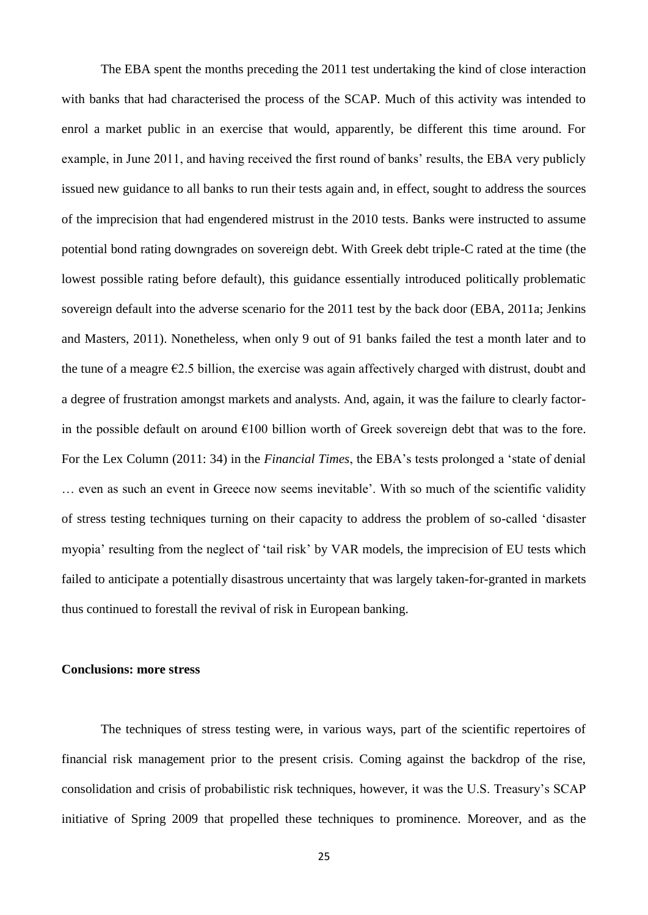The EBA spent the months preceding the 2011 test undertaking the kind of close interaction with banks that had characterised the process of the SCAP. Much of this activity was intended to enrol a market public in an exercise that would, apparently, be different this time around. For example, in June 2011, and having received the first round of banks' results, the EBA very publicly issued new guidance to all banks to run their tests again and, in effect, sought to address the sources of the imprecision that had engendered mistrust in the 2010 tests. Banks were instructed to assume potential bond rating downgrades on sovereign debt. With Greek debt triple-C rated at the time (the lowest possible rating before default), this guidance essentially introduced politically problematic sovereign default into the adverse scenario for the 2011 test by the back door (EBA, 2011a; Jenkins and Masters, 2011). Nonetheless, when only 9 out of 91 banks failed the test a month later and to the tune of a meagre  $\epsilon$ 2.5 billion, the exercise was again affectively charged with distrust, doubt and a degree of frustration amongst markets and analysts. And, again, it was the failure to clearly factorin the possible default on around  $\epsilon$ 100 billion worth of Greek sovereign debt that was to the fore. For the Lex Column (2011: 34) in the *Financial Times*, the EBA's tests prolonged a 'state of denial … even as such an event in Greece now seems inevitable'. With so much of the scientific validity of stress testing techniques turning on their capacity to address the problem of so-called 'disaster myopia' resulting from the neglect of 'tail risk' by VAR models, the imprecision of EU tests which failed to anticipate a potentially disastrous uncertainty that was largely taken-for-granted in markets thus continued to forestall the revival of risk in European banking.

### **Conclusions: more stress**

The techniques of stress testing were, in various ways, part of the scientific repertoires of financial risk management prior to the present crisis. Coming against the backdrop of the rise, consolidation and crisis of probabilistic risk techniques, however, it was the U.S. Treasury's SCAP initiative of Spring 2009 that propelled these techniques to prominence. Moreover, and as the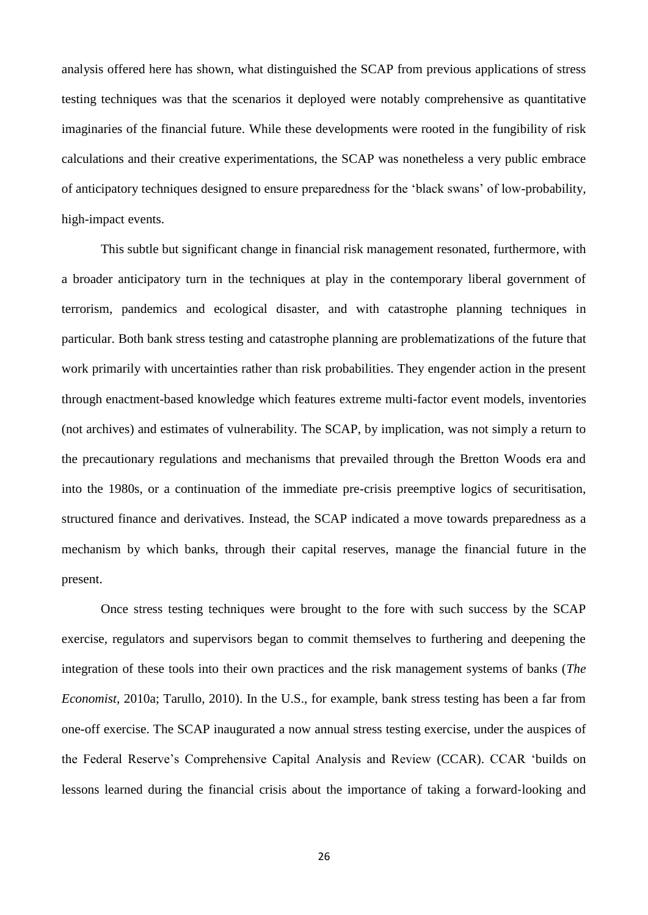analysis offered here has shown, what distinguished the SCAP from previous applications of stress testing techniques was that the scenarios it deployed were notably comprehensive as quantitative imaginaries of the financial future. While these developments were rooted in the fungibility of risk calculations and their creative experimentations, the SCAP was nonetheless a very public embrace of anticipatory techniques designed to ensure preparedness for the 'black swans' of low-probability, high-impact events.

This subtle but significant change in financial risk management resonated, furthermore, with a broader anticipatory turn in the techniques at play in the contemporary liberal government of terrorism, pandemics and ecological disaster, and with catastrophe planning techniques in particular. Both bank stress testing and catastrophe planning are problematizations of the future that work primarily with uncertainties rather than risk probabilities. They engender action in the present through enactment-based knowledge which features extreme multi-factor event models, inventories (not archives) and estimates of vulnerability. The SCAP, by implication, was not simply a return to the precautionary regulations and mechanisms that prevailed through the Bretton Woods era and into the 1980s, or a continuation of the immediate pre-crisis preemptive logics of securitisation, structured finance and derivatives. Instead, the SCAP indicated a move towards preparedness as a mechanism by which banks, through their capital reserves, manage the financial future in the present.

Once stress testing techniques were brought to the fore with such success by the SCAP exercise, regulators and supervisors began to commit themselves to furthering and deepening the integration of these tools into their own practices and the risk management systems of banks (*The Economist*, 2010a; Tarullo, 2010). In the U.S., for example, bank stress testing has been a far from one-off exercise. The SCAP inaugurated a now annual stress testing exercise, under the auspices of the Federal Reserve's Comprehensive Capital Analysis and Review (CCAR). CCAR 'builds on lessons learned during the financial crisis about the importance of taking a forward‐looking and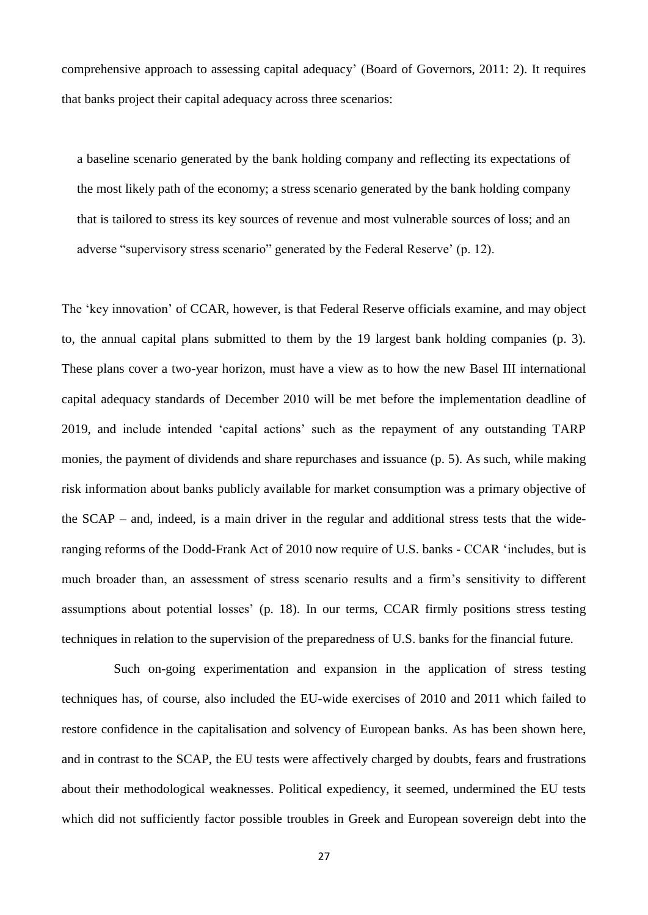comprehensive approach to assessing capital adequacy' (Board of Governors, 2011: 2). It requires that banks project their capital adequacy across three scenarios:

a baseline scenario generated by the bank holding company and reflecting its expectations of the most likely path of the economy; a stress scenario generated by the bank holding company that is tailored to stress its key sources of revenue and most vulnerable sources of loss; and an adverse "supervisory stress scenario" generated by the Federal Reserve' (p. 12).

The 'key innovation' of CCAR, however, is that Federal Reserve officials examine, and may object to, the annual capital plans submitted to them by the 19 largest bank holding companies (p. 3). These plans cover a two-year horizon, must have a view as to how the new Basel III international capital adequacy standards of December 2010 will be met before the implementation deadline of 2019, and include intended 'capital actions' such as the repayment of any outstanding TARP monies, the payment of dividends and share repurchases and issuance (p. 5). As such, while making risk information about banks publicly available for market consumption was a primary objective of the SCAP – and, indeed, is a main driver in the regular and additional stress tests that the wideranging reforms of the Dodd-Frank Act of 2010 now require of U.S. banks - CCAR 'includes, but is much broader than, an assessment of stress scenario results and a firm's sensitivity to different assumptions about potential losses' (p. 18). In our terms, CCAR firmly positions stress testing techniques in relation to the supervision of the preparedness of U.S. banks for the financial future.

 Such on-going experimentation and expansion in the application of stress testing techniques has, of course, also included the EU-wide exercises of 2010 and 2011 which failed to restore confidence in the capitalisation and solvency of European banks. As has been shown here, and in contrast to the SCAP, the EU tests were affectively charged by doubts, fears and frustrations about their methodological weaknesses. Political expediency, it seemed, undermined the EU tests which did not sufficiently factor possible troubles in Greek and European sovereign debt into the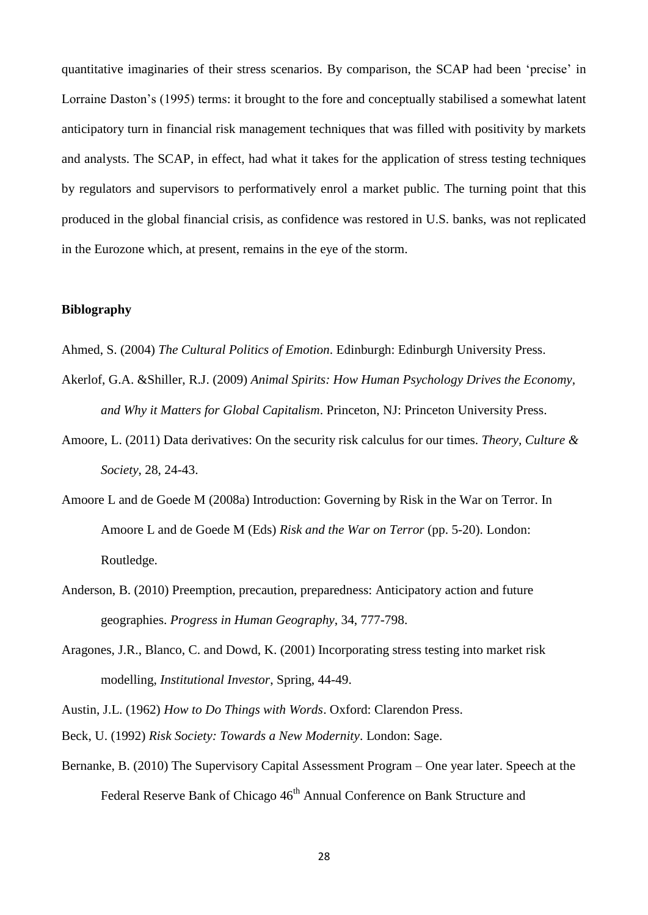quantitative imaginaries of their stress scenarios. By comparison, the SCAP had been 'precise' in Lorraine Daston's (1995) terms: it brought to the fore and conceptually stabilised a somewhat latent anticipatory turn in financial risk management techniques that was filled with positivity by markets and analysts. The SCAP, in effect, had what it takes for the application of stress testing techniques by regulators and supervisors to performatively enrol a market public. The turning point that this produced in the global financial crisis, as confidence was restored in U.S. banks, was not replicated in the Eurozone which, at present, remains in the eye of the storm.

# **Biblography**

- Ahmed, S. (2004) *The Cultural Politics of Emotion*. Edinburgh: Edinburgh University Press.
- Akerlof, G.A. &Shiller, R.J. (2009) *Animal Spirits: How Human Psychology Drives the Economy, and Why it Matters for Global Capitalism*. Princeton, NJ: Princeton University Press.
- Amoore, L. (2011) Data derivatives: On the security risk calculus for our times. *Theory, Culture & Society*, 28, 24-43.
- Amoore L and de Goede M (2008a) Introduction: Governing by Risk in the War on Terror. In Amoore L and de Goede M (Eds) *Risk and the War on Terror* (pp. 5-20). London: Routledge.
- Anderson, B. (2010) Preemption, precaution, preparedness: Anticipatory action and future geographies. *Progress in Human Geography*, 34, 777-798.
- Aragones, J.R., Blanco, C. and Dowd, K. (2001) Incorporating stress testing into market risk modelling, *Institutional Investor*, Spring, 44-49.

Austin, J.L. (1962) *How to Do Things with Words*. Oxford: Clarendon Press.

- Beck, U. (1992) *Risk Society: Towards a New Modernity*. London: Sage.
- Bernanke, B. (2010) The Supervisory Capital Assessment Program One year later. Speech at the Federal Reserve Bank of Chicago 46<sup>th</sup> Annual Conference on Bank Structure and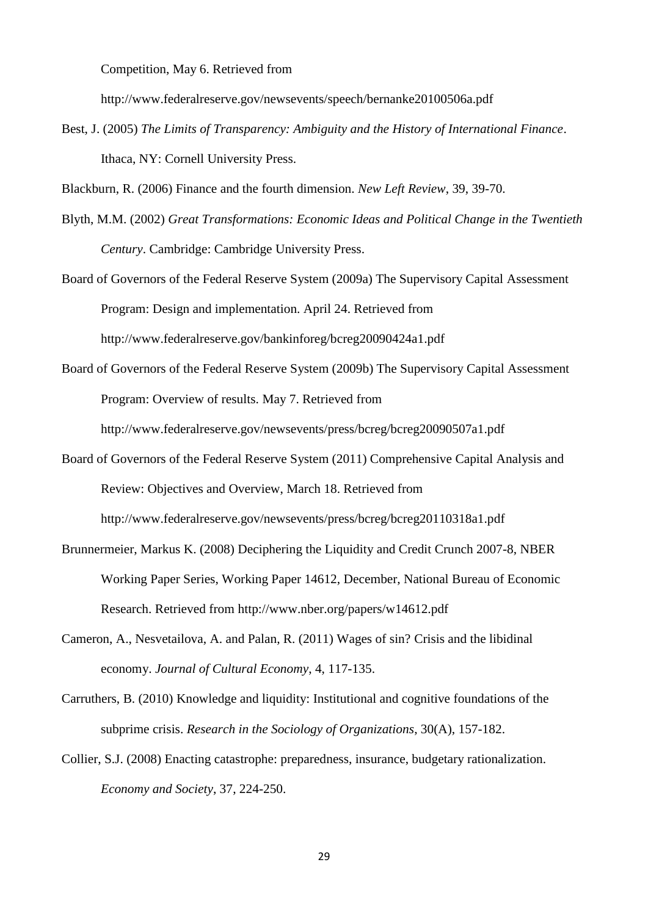Competition, May 6. Retrieved from

http://www.federalreserve.gov/newsevents/speech/bernanke20100506a.pdf

Best, J. (2005) *The Limits of Transparency: Ambiguity and the History of International Finance*. Ithaca, NY: Cornell University Press.

Blackburn, R. (2006) Finance and the fourth dimension. *New Left Review*, 39, 39-70.

- Blyth, M.M. (2002) *Great Transformations: Economic Ideas and Political Change in the Twentieth Century*. Cambridge: Cambridge University Press.
- Board of Governors of the Federal Reserve System (2009a) The Supervisory Capital Assessment Program: Design and implementation. April 24. Retrieved from http://www.federalreserve.gov/bankinforeg/bcreg20090424a1.pdf
- Board of Governors of the Federal Reserve System (2009b) The Supervisory Capital Assessment Program: Overview of results. May 7. Retrieved from http://www.federalreserve.gov/newsevents/press/bcreg/bcreg20090507a1.pdf
- Board of Governors of the Federal Reserve System (2011) Comprehensive Capital Analysis and Review: Objectives and Overview, March 18. Retrieved from http://www.federalreserve.gov/newsevents/press/bcreg/bcreg20110318a1.pdf
- Brunnermeier, Markus K. (2008) Deciphering the Liquidity and Credit Crunch 2007-8, NBER Working Paper Series, Working Paper 14612, December, National Bureau of Economic Research. Retrieved from http://www.nber.org/papers/w14612.pdf
- Cameron, A., Nesvetailova, A. and Palan, R. (2011) Wages of sin? Crisis and the libidinal economy. *Journal of Cultural Economy*, 4, 117-135.
- Carruthers, B. (2010) Knowledge and liquidity: Institutional and cognitive foundations of the subprime crisis. *Research in the Sociology of Organizations*, 30(A), 157-182.
- Collier, S.J. (2008) Enacting catastrophe: preparedness, insurance, budgetary rationalization. *Economy and Society*, 37, 224-250.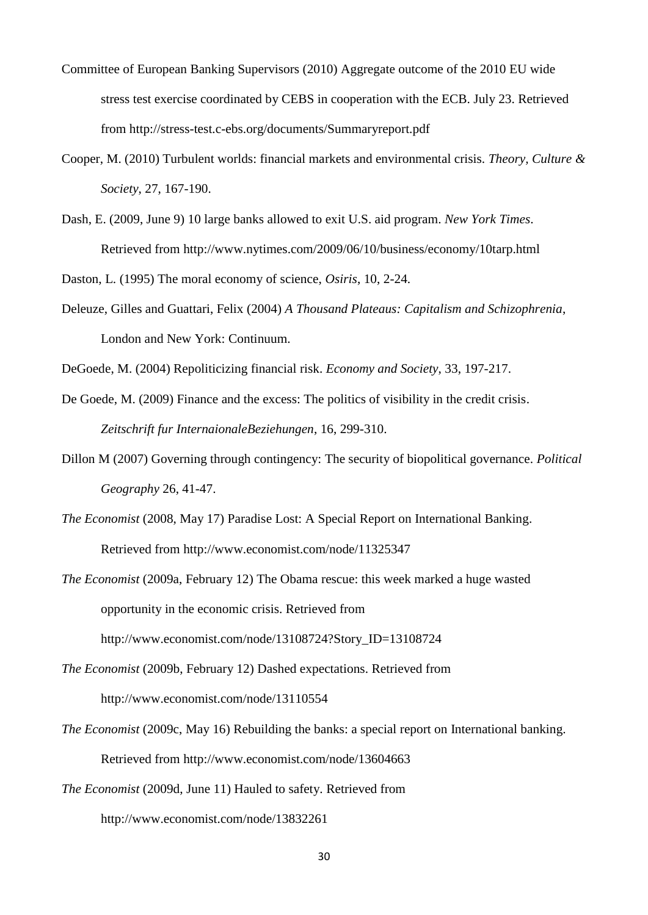- Committee of European Banking Supervisors (2010) Aggregate outcome of the 2010 EU wide stress test exercise coordinated by CEBS in cooperation with the ECB. July 23. Retrieved from http://stress-test.c-ebs.org/documents/Summaryreport.pdf
- Cooper, M. (2010) Turbulent worlds: financial markets and environmental crisis. *Theory, Culture & Society*, 27, 167-190.
- Dash, E. (2009, June 9) 10 large banks allowed to exit U.S. aid program. *New York Times*. Retrieved from http://www.nytimes.com/2009/06/10/business/economy/10tarp.html

Daston, L. (1995) The moral economy of science, *Osiris*, 10, 2-24.

Deleuze, Gilles and Guattari, Felix (2004) *A Thousand Plateaus: Capitalism and Schizophrenia*, London and New York: Continuum.

DeGoede, M. (2004) Repoliticizing financial risk. *Economy and Society*, 33, 197-217.

- De Goede, M. (2009) Finance and the excess: The politics of visibility in the credit crisis. *Zeitschrift fur InternaionaleBeziehungen*, 16, 299-310.
- Dillon M (2007) Governing through contingency: The security of biopolitical governance. *Political Geography* 26, 41-47.
- *The Economist* (2008, May 17) Paradise Lost: A Special Report on International Banking. Retrieved from http://www.economist.com/node/11325347
- *The Economist* (2009a, February 12) The Obama rescue: this week marked a huge wasted opportunity in the economic crisis. Retrieved from http://www.economist.com/node/13108724?Story\_ID=13108724
- *The Economist* (2009b, February 12) Dashed expectations. Retrieved from http://www.economist.com/node/13110554
- *The Economist* (2009c, May 16) Rebuilding the banks: a special report on International banking. Retrieved from http://www.economist.com/node/13604663
- *The Economist* (2009d, June 11) Hauled to safety. Retrieved from http://www.economist.com/node/13832261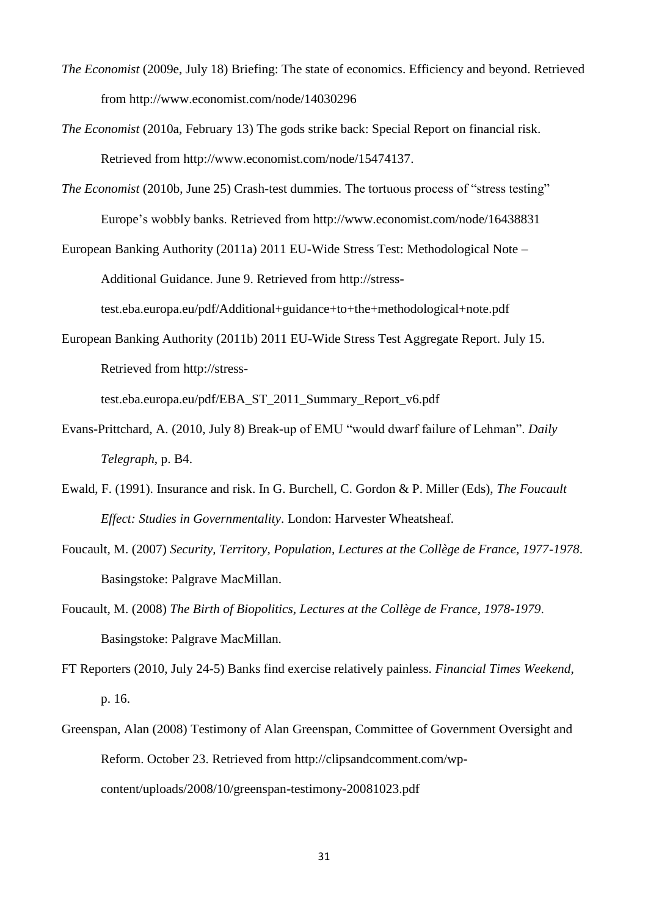- *The Economist* (2009e, July 18) Briefing: The state of economics. Efficiency and beyond. Retrieved from http://www.economist.com/node/14030296
- *The Economist* (2010a, February 13) The gods strike back: Special Report on financial risk. Retrieved from http://www.economist.com/node/15474137.
- *The Economist* (2010b, June 25) Crash-test dummies. The tortuous process of "stress testing" Europe's wobbly banks. Retrieved from http://www.economist.com/node/16438831

European Banking Authority (2011a) 2011 EU-Wide Stress Test: Methodological Note –

Additional Guidance. June 9. Retrieved from http://stress-

test.eba.europa.eu/pdf/Additional+guidance+to+the+methodological+note.pdf

European Banking Authority (2011b) 2011 EU-Wide Stress Test Aggregate Report. July 15. Retrieved from http://stress-

test.eba.europa.eu/pdf/EBA\_ST\_2011\_Summary\_Report\_v6.pdf

- Evans-Prittchard, A. (2010, July 8) Break-up of EMU "would dwarf failure of Lehman". *Daily Telegraph*, p. B4.
- Ewald, F. (1991). Insurance and risk. In G. Burchell, C. Gordon & P. Miller (Eds), *The Foucault Effect: Studies in Governmentality*. London: Harvester Wheatsheaf.
- Foucault, M. (2007) *Security, Territory, Population, Lectures at the Collège de France, 1977-1978*. Basingstoke: Palgrave MacMillan.
- Foucault, M. (2008) *The Birth of Biopolitics, Lectures at the Collège de France, 1978-1979*. Basingstoke: Palgrave MacMillan.
- FT Reporters (2010, July 24-5) Banks find exercise relatively painless. *Financial Times Weekend*, p. 16.
- Greenspan, Alan (2008) Testimony of Alan Greenspan, Committee of Government Oversight and Reform. October 23. Retrieved from http://clipsandcomment.com/wpcontent/uploads/2008/10/greenspan-testimony-20081023.pdf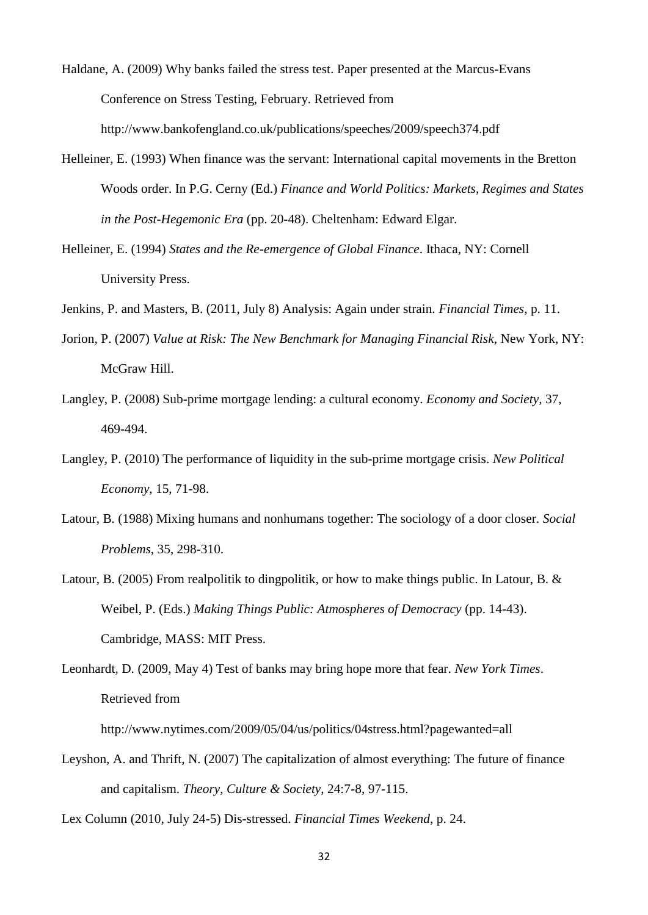- Haldane, A. (2009) Why banks failed the stress test. Paper presented at the Marcus-Evans Conference on Stress Testing, February. Retrieved from http://www.bankofengland.co.uk/publications/speeches/2009/speech374.pdf
- Helleiner, E. (1993) When finance was the servant: International capital movements in the Bretton Woods order. In P.G. Cerny (Ed.) *Finance and World Politics: Markets, Regimes and States in the Post-Hegemonic Era* (pp. 20-48). Cheltenham: Edward Elgar.
- Helleiner, E. (1994) *States and the Re-emergence of Global Finance*. Ithaca, NY: Cornell University Press.
- Jenkins, P. and Masters, B. (2011, July 8) Analysis: Again under strain. *Financial Times*, p. 11.
- Jorion, P. (2007) *Value at Risk: The New Benchmark for Managing Financial Risk*, New York, NY: McGraw Hill.
- Langley, P. (2008) Sub-prime mortgage lending: a cultural economy. *Economy and Society,* 37, 469-494.
- Langley, P. (2010) The performance of liquidity in the sub-prime mortgage crisis. *New Political Economy*, 15, 71-98.
- Latour, B. (1988) Mixing humans and nonhumans together: The sociology of a door closer. *Social Problems*, 35, 298-310.
- Latour, B. (2005) From realpolitik to dingpolitik, or how to make things public. In Latour, B. & Weibel, P. (Eds.) *Making Things Public: Atmospheres of Democracy* (pp. 14-43). Cambridge, MASS: MIT Press.
- Leonhardt, D. (2009, May 4) Test of banks may bring hope more that fear. *New York Times*. Retrieved from

http://www.nytimes.com/2009/05/04/us/politics/04stress.html?pagewanted=all

Leyshon, A. and Thrift, N. (2007) The capitalization of almost everything: The future of finance and capitalism. *Theory, Culture & Society*, 24:7-8, 97-115.

Lex Column (2010, July 24-5) Dis-stressed. *Financial Times Weekend*, p. 24.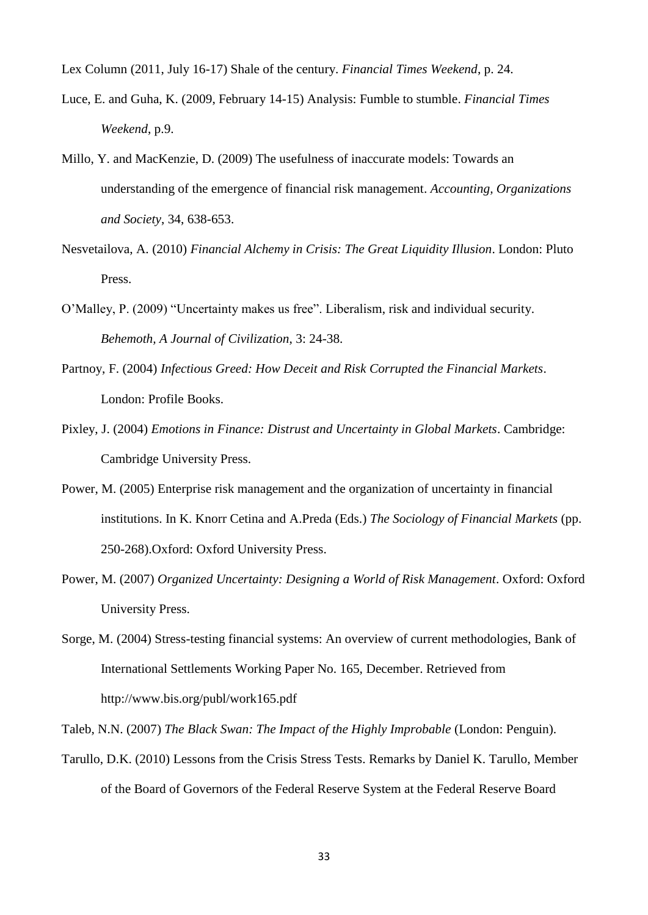Lex Column (2011, July 16-17) Shale of the century. *Financial Times Weekend*, p. 24.

- Luce, E. and Guha, K. (2009, February 14-15) Analysis: Fumble to stumble. *Financial Times Weekend*, p.9.
- Millo, Y. and MacKenzie, D. (2009) The usefulness of inaccurate models: Towards an understanding of the emergence of financial risk management. *Accounting, Organizations and Society*, 34, 638-653.
- Nesvetailova, A. (2010) *Financial Alchemy in Crisis: The Great Liquidity Illusion*. London: Pluto Press.
- O'Malley, P. (2009) "Uncertainty makes us free". Liberalism, risk and individual security. *Behemoth, A Journal of Civilization*, 3: 24-38.
- Partnoy, F. (2004) *Infectious Greed: How Deceit and Risk Corrupted the Financial Markets*. London: Profile Books.
- Pixley, J. (2004) *Emotions in Finance: Distrust and Uncertainty in Global Markets*. Cambridge: Cambridge University Press.
- Power, M. (2005) Enterprise risk management and the organization of uncertainty in financial institutions. In K. Knorr Cetina and A.Preda (Eds.) *The Sociology of Financial Markets* (pp. 250-268).Oxford: Oxford University Press.
- Power, M. (2007) *Organized Uncertainty: Designing a World of Risk Management*. Oxford: Oxford University Press.
- Sorge, M. (2004) Stress-testing financial systems: An overview of current methodologies, Bank of International Settlements Working Paper No. 165, December. Retrieved from http://www.bis.org/publ/work165.pdf

Taleb, N.N. (2007) *The Black Swan: The Impact of the Highly Improbable* (London: Penguin).

Tarullo, D.K. (2010) Lessons from the Crisis Stress Tests. Remarks by Daniel K. Tarullo, Member of the Board of Governors of the Federal Reserve System at the Federal Reserve Board